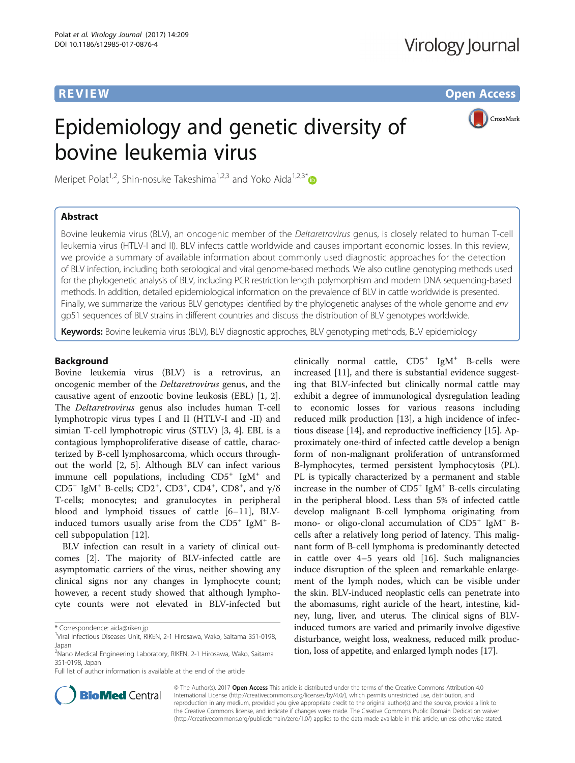**REVIEW CONSTRUCTION CONSTRUCTION CONSTRUCTS** 

CrossMark

# Epidemiology and genetic diversity of bovine leukemia virus

Meripet Polat<sup>1,2</sup>, Shin-nosuke Takeshima<sup>1,2,3</sup> and Yoko Aida<sup>1,2,3[\\*](http://orcid.org/0000-0001-7400-3587)</sup>

# Abstract

Bovine leukemia virus (BLV), an oncogenic member of the Deltaretrovirus genus, is closely related to human T-cell leukemia virus (HTLV-I and II). BLV infects cattle worldwide and causes important economic losses. In this review, we provide a summary of available information about commonly used diagnostic approaches for the detection of BLV infection, including both serological and viral genome-based methods. We also outline genotyping methods used for the phylogenetic analysis of BLV, including PCR restriction length polymorphism and modern DNA sequencing-based methods. In addition, detailed epidemiological information on the prevalence of BLV in cattle worldwide is presented. Finally, we summarize the various BLV genotypes identified by the phylogenetic analyses of the whole genome and env gp51 sequences of BLV strains in different countries and discuss the distribution of BLV genotypes worldwide.

Keywords: Bovine leukemia virus (BLV), BLV diagnostic approches, BLV genotyping methods, BLV epidemiology

# Background

Bovine leukemia virus (BLV) is a retrovirus, an oncogenic member of the Deltaretrovirus genus, and the causative agent of enzootic bovine leukosis (EBL) [[1, 2](#page-12-0)]. The Deltaretrovirus genus also includes human T-cell lymphotropic virus types I and II (HTLV-I and -II) and simian T-cell lymphotropic virus (STLV) [\[3, 4](#page-12-0)]. EBL is a contagious lymphoproliferative disease of cattle, characterized by B-cell lymphosarcoma, which occurs throughout the world [[2, 5](#page-12-0)]. Although BLV can infect various immune cell populations, including  $CD5^+$  IgM<sup>+</sup> and CD5<sup>-</sup> IgM<sup>+</sup> B-cells; CD2<sup>+</sup>, CD3<sup>+</sup>, CD4<sup>+</sup>, CD8<sup>+</sup>, and  $\gamma/\delta$ T-cells; monocytes; and granulocytes in peripheral blood and lymphoid tissues of cattle [\[6](#page-12-0)–[11](#page-12-0)], BLVinduced tumors usually arise from the  $CD5^+$  IgM<sup>+</sup> Bcell subpopulation [[12\]](#page-12-0).

BLV infection can result in a variety of clinical outcomes [[2\]](#page-12-0). The majority of BLV-infected cattle are asymptomatic carriers of the virus, neither showing any clinical signs nor any changes in lymphocyte count; however, a recent study showed that although lymphocyte counts were not elevated in BLV-infected but

Full list of author information is available at the end of the article

clinically normal cattle,  $CD5^+$  IgM<sup>+</sup> B-cells were increased [\[11](#page-12-0)], and there is substantial evidence suggesting that BLV-infected but clinically normal cattle may exhibit a degree of immunological dysregulation leading to economic losses for various reasons including reduced milk production [\[13\]](#page-12-0), a high incidence of infectious disease [\[14](#page-12-0)], and reproductive inefficiency [[15\]](#page-12-0). Approximately one-third of infected cattle develop a benign form of non-malignant proliferation of untransformed B-lymphocytes, termed persistent lymphocytosis (PL). PL is typically characterized by a permanent and stable increase in the number of  $CD5^+$  IgM<sup>+</sup> B-cells circulating in the peripheral blood. Less than 5% of infected cattle develop malignant B-cell lymphoma originating from mono- or oligo-clonal accumulation of  $CD5^+$  IgM<sup>+</sup> Bcells after a relatively long period of latency. This malignant form of B-cell lymphoma is predominantly detected in cattle over 4–5 years old [\[16\]](#page-12-0). Such malignancies induce disruption of the spleen and remarkable enlargement of the lymph nodes, which can be visible under the skin. BLV-induced neoplastic cells can penetrate into the abomasums, right auricle of the heart, intestine, kidney, lung, liver, and uterus. The clinical signs of BLVinduced tumors are varied and primarily involve digestive disturbance, weight loss, weakness, reduced milk production, loss of appetite, and enlarged lymph nodes [\[17\]](#page-12-0).



© The Author(s). 2017 **Open Access** This article is distributed under the terms of the Creative Commons Attribution 4.0 International License [\(http://creativecommons.org/licenses/by/4.0/](http://creativecommons.org/licenses/by/4.0/)), which permits unrestricted use, distribution, and reproduction in any medium, provided you give appropriate credit to the original author(s) and the source, provide a link to the Creative Commons license, and indicate if changes were made. The Creative Commons Public Domain Dedication waiver [\(http://creativecommons.org/publicdomain/zero/1.0/](http://creativecommons.org/publicdomain/zero/1.0/)) applies to the data made available in this article, unless otherwise stated.

<sup>\*</sup> Correspondence: [aida@riken.jp](mailto:aida@riken.jp) <sup>1</sup>

<sup>&</sup>lt;sup>1</sup>Viral Infectious Diseases Unit, RIKEN, 2-1 Hirosawa, Wako, Saitama 351-0198, Japan

<sup>&</sup>lt;sup>2</sup>Nano Medical Engineering Laboratory, RIKEN, 2-1 Hirosawa, Wako, Saitama 351-0198, Japan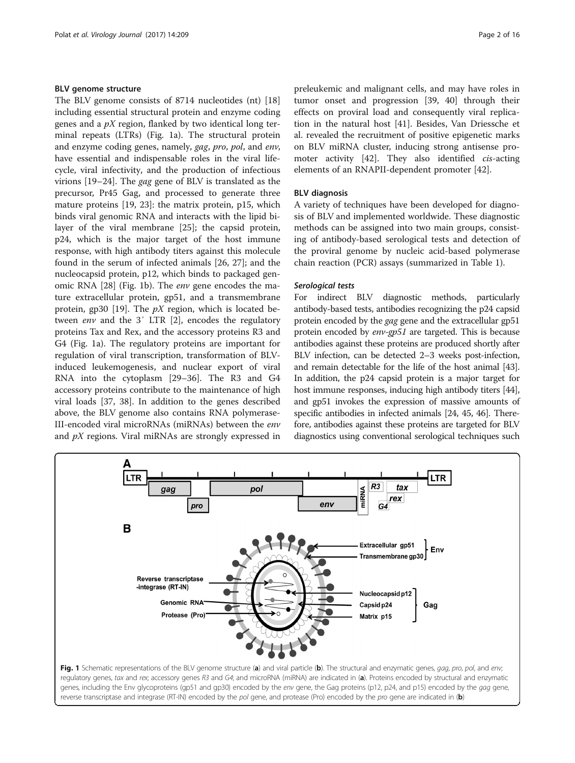# BLV genome structure

The BLV genome consists of 8714 nucleotides (nt) [[18](#page-12-0)] including essential structural protein and enzyme coding genes and a  $pX$  region, flanked by two identical long terminal repeats (LTRs) (Fig. 1a). The structural protein and enzyme coding genes, namely, gag, pro, pol, and env, have essential and indispensable roles in the viral lifecycle, viral infectivity, and the production of infectious virions [[19](#page-12-0)–[24](#page-12-0)]. The gag gene of BLV is translated as the precursor, Pr45 Gag, and processed to generate three mature proteins [\[19](#page-12-0), [23\]](#page-12-0): the matrix protein, p15, which binds viral genomic RNA and interacts with the lipid bilayer of the viral membrane [[25\]](#page-12-0); the capsid protein, p24, which is the major target of the host immune response, with high antibody titers against this molecule found in the serum of infected animals [\[26](#page-12-0), [27\]](#page-12-0); and the nucleocapsid protein, p12, which binds to packaged genomic RNA [\[28](#page-12-0)] (Fig. 1b). The env gene encodes the mature extracellular protein, gp51, and a transmembrane protein, gp30 [\[19\]](#page-12-0). The  $pX$  region, which is located between *env* and the 3' LTR [\[2](#page-12-0)], encodes the regulatory proteins Tax and Rex, and the accessory proteins R3 and G4 (Fig. 1a). The regulatory proteins are important for regulation of viral transcription, transformation of BLVinduced leukemogenesis, and nuclear export of viral RNA into the cytoplasm [\[29](#page-12-0)–[36\]](#page-13-0). The R3 and G4 accessory proteins contribute to the maintenance of high viral loads [\[37](#page-13-0), [38\]](#page-13-0). In addition to the genes described above, the BLV genome also contains RNA polymerase-III-encoded viral microRNAs (miRNAs) between the env and pX regions. Viral miRNAs are strongly expressed in preleukemic and malignant cells, and may have roles in tumor onset and progression [[39, 40](#page-13-0)] through their effects on proviral load and consequently viral replication in the natural host [[41\]](#page-13-0). Besides, Van Driessche et al. revealed the recruitment of positive epigenetic marks on BLV miRNA cluster, inducing strong antisense promoter activity [[42\]](#page-13-0). They also identified cis-acting elements of an RNAPII-dependent promoter [\[42](#page-13-0)].

# BLV diagnosis

A variety of techniques have been developed for diagnosis of BLV and implemented worldwide. These diagnostic methods can be assigned into two main groups, consisting of antibody-based serological tests and detection of the proviral genome by nucleic acid-based polymerase chain reaction (PCR) assays (summarized in Table [1\)](#page-2-0).

# Serological tests

For indirect BLV diagnostic methods, particularly antibody-based tests, antibodies recognizing the p24 capsid protein encoded by the gag gene and the extracellular gp51 protein encoded by env-gp51 are targeted. This is because antibodies against these proteins are produced shortly after BLV infection, can be detected 2–3 weeks post-infection, and remain detectable for the life of the host animal [\[43](#page-13-0)]. In addition, the p24 capsid protein is a major target for host immune responses, inducing high antibody titers [\[44](#page-13-0)], and gp51 invokes the expression of massive amounts of specific antibodies in infected animals [[24](#page-12-0), [45](#page-13-0), [46](#page-13-0)]. Therefore, antibodies against these proteins are targeted for BLV diagnostics using conventional serological techniques such

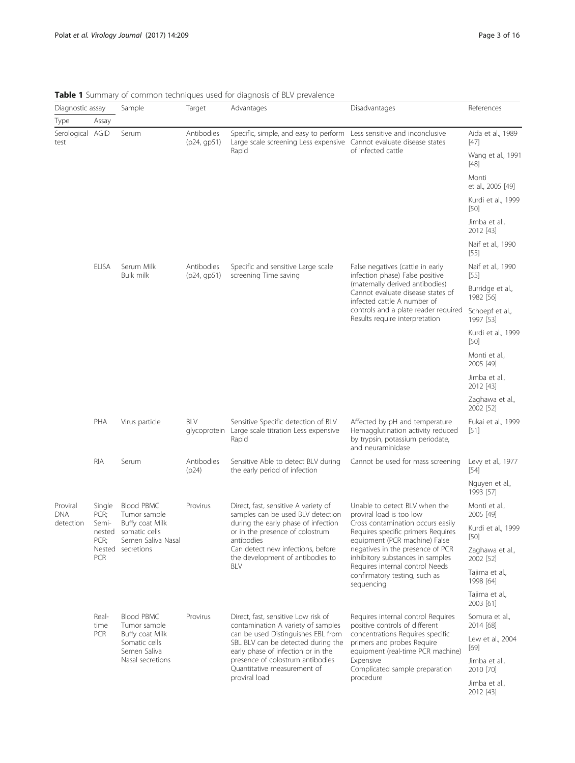| Diagnostic assay         |                         | Sample                                                                                                    | Target                    | Advantages                                                                                                                                   | Disadvantages                                                                                                                | References                    |  |
|--------------------------|-------------------------|-----------------------------------------------------------------------------------------------------------|---------------------------|----------------------------------------------------------------------------------------------------------------------------------------------|------------------------------------------------------------------------------------------------------------------------------|-------------------------------|--|
| Type                     | Assay                   |                                                                                                           |                           |                                                                                                                                              |                                                                                                                              |                               |  |
| Serological AGID<br>test |                         | Serum                                                                                                     | Antibodies<br>(p24, qp51) | Specific, simple, and easy to perform Less sensitive and inconclusive<br>Large scale screening Less expensive Cannot evaluate disease states |                                                                                                                              | Aida et al., 1989<br>$[47]$   |  |
|                          |                         |                                                                                                           |                           | Rapid                                                                                                                                        | of infected cattle                                                                                                           | Wang et al., 1991<br>$[48]$   |  |
|                          |                         |                                                                                                           |                           |                                                                                                                                              |                                                                                                                              | Monti<br>et al., 2005 [49]    |  |
|                          |                         |                                                                                                           |                           |                                                                                                                                              |                                                                                                                              | Kurdi et al., 1999<br>$[50]$  |  |
|                          |                         |                                                                                                           |                           |                                                                                                                                              |                                                                                                                              | Jimba et al.,<br>2012 [43]    |  |
|                          |                         |                                                                                                           |                           |                                                                                                                                              |                                                                                                                              | Naif et al., 1990<br>$[55]$   |  |
|                          | <b>ELISA</b>            | Serum Milk<br><b>Bulk milk</b>                                                                            | Antibodies<br>(p24, qp51) | Specific and sensitive Large scale<br>screening Time saving                                                                                  | False negatives (cattle in early<br>infection phase) False positive                                                          | Naif et al., 1990<br>[55]     |  |
|                          |                         |                                                                                                           |                           |                                                                                                                                              | (maternally derived antibodies)<br>Cannot evaluate disease states of<br>infected cattle A number of                          | Burridge et al.,<br>1982 [56] |  |
|                          |                         |                                                                                                           |                           |                                                                                                                                              | controls and a plate reader required<br>Results require interpretation                                                       | Schoepf et al.,<br>1997 [53]  |  |
|                          |                         |                                                                                                           |                           |                                                                                                                                              |                                                                                                                              | Kurdi et al., 1999<br>$[50]$  |  |
|                          |                         |                                                                                                           |                           |                                                                                                                                              |                                                                                                                              | Monti et al.,<br>2005 [49]    |  |
|                          |                         |                                                                                                           |                           |                                                                                                                                              |                                                                                                                              | Jimba et al.,<br>2012 [43]    |  |
|                          |                         |                                                                                                           |                           |                                                                                                                                              |                                                                                                                              | Zaghawa et al.,<br>2002 [52]  |  |
|                          | PHA                     | Virus particle                                                                                            | BLV                       | Sensitive Specific detection of BLV<br>glycoprotein Large scale titration Less expensive<br>Rapid                                            | Affected by pH and temperature<br>Hemagglutination activity reduced<br>by trypsin, potassium periodate,<br>and neuraminidase | Fukai et al., 1999<br>$[51]$  |  |
|                          | <b>RIA</b>              | Serum                                                                                                     | Antibodies<br>(p24)       | Sensitive Able to detect BLV during<br>the early period of infection                                                                         | Cannot be used for mass screening                                                                                            | Levy et al., 1977<br>$[54]$   |  |
|                          |                         |                                                                                                           |                           |                                                                                                                                              |                                                                                                                              | Nguyen et al.,<br>1993 [57]   |  |
| Proviral<br><b>DNA</b>   | Single<br>PCR;          | <b>Blood PBMC</b><br>Tumor sample                                                                         | Provirus                  | Direct, fast, sensitive A variety of<br>samples can be used BLV detection<br>during the early phase of infection                             | Unable to detect BLV when the<br>proviral load is too low                                                                    | Monti et al.,<br>2005 [49]    |  |
| detection                | Semi-<br>nested<br>PCR; | Buffy coat Milk<br>somatic cells<br>Semen Saliva Nasal                                                    |                           | or in the presence of colostrum<br>antibodies                                                                                                | Cross contamination occurs easily<br>Requires specific primers Requires<br>equipment (PCR machine) False                     | Kurdi et al., 1999<br>$[50]$  |  |
|                          | <b>PCR</b>              | Nested secretions                                                                                         |                           | Can detect new infections, before<br>the development of antibodies to<br>BLV                                                                 | negatives in the presence of PCR<br>inhibitory substances in samples<br>Requires internal control Needs                      | Zaghawa et al.,<br>2002 [52]  |  |
|                          |                         |                                                                                                           |                           |                                                                                                                                              | confirmatory testing, such as<br>sequencing                                                                                  | Tajima et al.,<br>1998 [64]   |  |
|                          |                         |                                                                                                           |                           |                                                                                                                                              |                                                                                                                              | Tajima et al.,<br>2003 [61]   |  |
|                          | Real-<br>time           | <b>Blood PBMC</b><br>Tumor sample<br>Buffy coat Milk<br>Somatic cells<br>Semen Saliva<br>Nasal secretions | Provirus                  | Direct, fast, sensitive Low risk of<br>contamination A variety of samples                                                                    | Requires internal control Requires<br>positive controls of different                                                         | Somura et al.,<br>2014 [68]   |  |
|                          | PCR                     |                                                                                                           |                           | can be used Distinguishes EBL from<br>SBL BLV can be detected during the<br>early phase of infection or in the                               | concentrations Requires specific<br>primers and probes Require<br>equipment (real-time PCR machine)                          | Lew et al., 2004<br>$[69]$    |  |
|                          |                         |                                                                                                           |                           | presence of colostrum antibodies<br>Quantitative measurement of<br>proviral load                                                             | Expensive<br>Complicated sample preparation<br>procedure                                                                     | Jimba et al.,<br>2010 [70]    |  |
|                          |                         |                                                                                                           |                           |                                                                                                                                              |                                                                                                                              | Jimba et al.,<br>2012 [43]    |  |

# <span id="page-2-0"></span>Table 1 Summary of common techniques used for diagnosis of BLV prevalence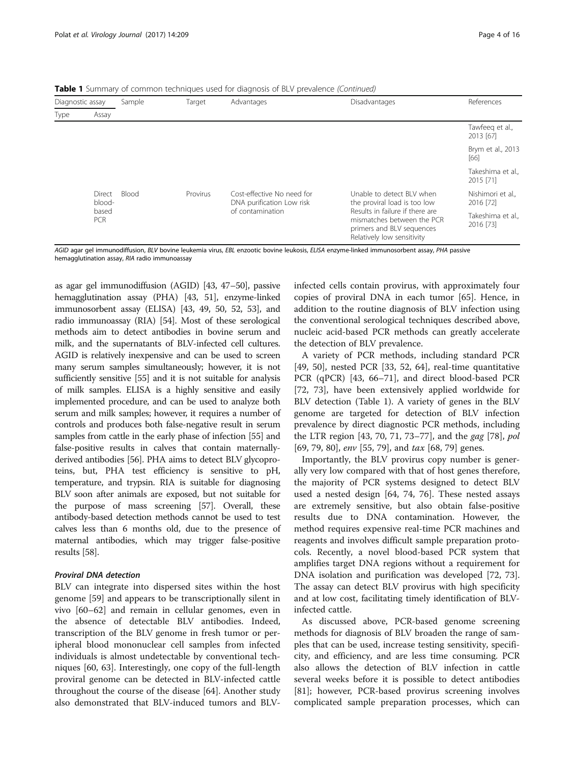**Table 1** Summary of common techniques used for diagnosis of BLV prevalence *(Continued)* 

| Diagnostic assay |                     | Sample       | Target   | Advantages                                              | <b>Disadvantages</b>                                                                                                     | References                     |  |
|------------------|---------------------|--------------|----------|---------------------------------------------------------|--------------------------------------------------------------------------------------------------------------------------|--------------------------------|--|
| Type             | Assay               |              |          |                                                         |                                                                                                                          |                                |  |
|                  |                     |              |          |                                                         |                                                                                                                          | Tawfeeg et al.,<br>2013 [67]   |  |
|                  |                     |              |          |                                                         |                                                                                                                          | Brym et al., 2013<br>[66]      |  |
|                  |                     |              |          |                                                         |                                                                                                                          | Takeshima et al.,<br>2015 [71] |  |
|                  | Direct<br>blood-    | <b>Blood</b> | Provirus | Cost-effective No need for<br>DNA purification Low risk | Unable to detect BLV when<br>the proviral load is too low                                                                | Nishimori et al.,<br>2016 [72] |  |
|                  | based<br><b>PCR</b> |              |          | of contamination                                        | Results in failure if there are<br>mismatches between the PCR<br>primers and BLV sequences<br>Relatively low sensitivity | Takeshima et al.,<br>2016 [73] |  |

AGID agar gel immunodiffusion, BLV bovine leukemia virus, EBL enzootic bovine leukosis, ELISA enzyme-linked immunosorbent assay, PHA passive hemagglutination assay, RIA radio immunoassay

as agar gel immunodiffusion (AGID) [[43, 47](#page-13-0)–[50\]](#page-13-0), passive hemagglutination assay (PHA) [[43](#page-13-0), [51](#page-13-0)], enzyme-linked immunosorbent assay (ELISA) [\[43, 49](#page-13-0), [50, 52](#page-13-0), [53\]](#page-13-0), and radio immunoassay (RIA) [[54](#page-13-0)]. Most of these serological methods aim to detect antibodies in bovine serum and milk, and the supernatants of BLV-infected cell cultures. AGID is relatively inexpensive and can be used to screen many serum samples simultaneously; however, it is not sufficiently sensitive [\[55\]](#page-13-0) and it is not suitable for analysis of milk samples. ELISA is a highly sensitive and easily implemented procedure, and can be used to analyze both serum and milk samples; however, it requires a number of controls and produces both false-negative result in serum samples from cattle in the early phase of infection [\[55\]](#page-13-0) and false-positive results in calves that contain maternallyderived antibodies [[56](#page-13-0)]. PHA aims to detect BLV glycoproteins, but, PHA test efficiency is sensitive to pH, temperature, and trypsin. RIA is suitable for diagnosing BLV soon after animals are exposed, but not suitable for the purpose of mass screening [[57](#page-13-0)]. Overall, these antibody-based detection methods cannot be used to test calves less than 6 months old, due to the presence of maternal antibodies, which may trigger false-positive results [\[58\]](#page-13-0).

# Proviral DNA detection

BLV can integrate into dispersed sites within the host genome [\[59](#page-13-0)] and appears to be transcriptionally silent in vivo [\[60](#page-13-0)–[62\]](#page-13-0) and remain in cellular genomes, even in the absence of detectable BLV antibodies. Indeed, transcription of the BLV genome in fresh tumor or peripheral blood mononuclear cell samples from infected individuals is almost undetectable by conventional techniques [[60, 63\]](#page-13-0). Interestingly, one copy of the full-length proviral genome can be detected in BLV-infected cattle throughout the course of the disease [\[64](#page-13-0)]. Another study also demonstrated that BLV-induced tumors and BLV-

infected cells contain provirus, with approximately four copies of proviral DNA in each tumor [\[65\]](#page-13-0). Hence, in addition to the routine diagnosis of BLV infection using the conventional serological techniques described above, nucleic acid-based PCR methods can greatly accelerate the detection of BLV prevalence.

A variety of PCR methods, including standard PCR [[49, 50\]](#page-13-0), nested PCR [[33](#page-12-0), [52](#page-13-0), [64](#page-13-0)], real-time quantitative PCR (qPCR) [[43](#page-13-0), [66](#page-13-0)–[71\]](#page-13-0), and direct blood-based PCR [[72, 73](#page-13-0)], have been extensively applied worldwide for BLV detection (Table [1](#page-2-0)). A variety of genes in the BLV genome are targeted for detection of BLV infection prevalence by direct diagnostic PCR methods, including the LTR region [[43, 70, 71, 73](#page-13-0)–[77\]](#page-13-0), and the gag [[78\]](#page-14-0), pol [[69,](#page-13-0) [79, 80\]](#page-14-0), *env* [[55,](#page-13-0) [79](#page-14-0)], and *tax* [\[68,](#page-13-0) [79\]](#page-14-0) genes.

Importantly, the BLV provirus copy number is generally very low compared with that of host genes therefore, the majority of PCR systems designed to detect BLV used a nested design [[64](#page-13-0), [74, 76](#page-13-0)]. These nested assays are extremely sensitive, but also obtain false-positive results due to DNA contamination. However, the method requires expensive real-time PCR machines and reagents and involves difficult sample preparation protocols. Recently, a novel blood-based PCR system that amplifies target DNA regions without a requirement for DNA isolation and purification was developed [\[72](#page-13-0), [73](#page-13-0)]. The assay can detect BLV provirus with high specificity and at low cost, facilitating timely identification of BLVinfected cattle.

As discussed above, PCR-based genome screening methods for diagnosis of BLV broaden the range of samples that can be used, increase testing sensitivity, specificity, and efficiency, and are less time consuming. PCR also allows the detection of BLV infection in cattle several weeks before it is possible to detect antibodies [[81\]](#page-14-0); however, PCR-based provirus screening involves complicated sample preparation processes, which can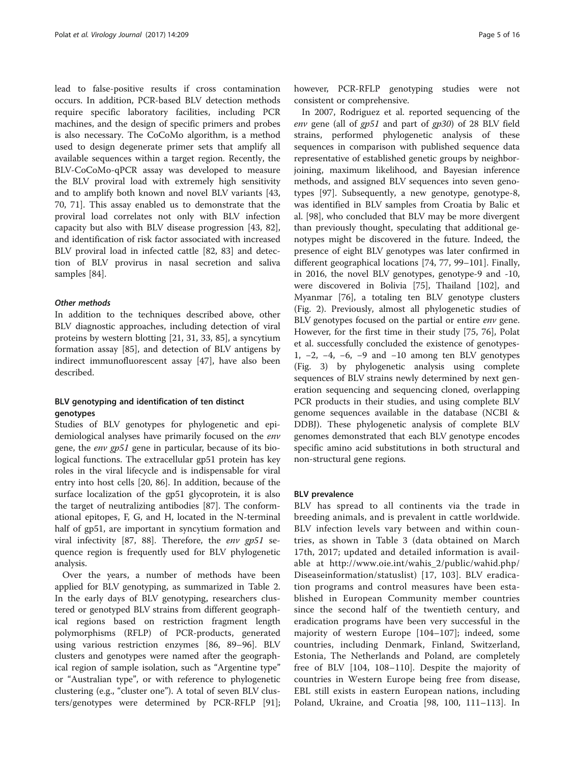lead to false-positive results if cross contamination occurs. In addition, PCR-based BLV detection methods require specific laboratory facilities, including PCR machines, and the design of specific primers and probes is also necessary. The CoCoMo algorithm, is a method used to design degenerate primer sets that amplify all available sequences within a target region. Recently, the BLV-CoCoMo-qPCR assay was developed to measure the BLV proviral load with extremely high sensitivity and to amplify both known and novel BLV variants [[43](#page-13-0), [70, 71\]](#page-13-0). This assay enabled us to demonstrate that the proviral load correlates not only with BLV infection capacity but also with BLV disease progression [[43,](#page-13-0) [82](#page-14-0)], and identification of risk factor associated with increased BLV proviral load in infected cattle [\[82](#page-14-0), [83](#page-14-0)] and detection of BLV provirus in nasal secretion and saliva samples [\[84\]](#page-14-0).

#### Other methods

In addition to the techniques described above, other BLV diagnostic approaches, including detection of viral proteins by western blotting [\[21](#page-12-0), [31](#page-12-0), [33](#page-12-0), [85](#page-14-0)], a syncytium formation assay [\[85](#page-14-0)], and detection of BLV antigens by indirect immunofluorescent assay [[47\]](#page-13-0), have also been described.

# BLV genotyping and identification of ten distinct genotypes

Studies of BLV genotypes for phylogenetic and epidemiological analyses have primarily focused on the env gene, the env gp51 gene in particular, because of its biological functions. The extracellular gp51 protein has key roles in the viral lifecycle and is indispensable for viral entry into host cells [[20,](#page-12-0) [86\]](#page-14-0). In addition, because of the surface localization of the gp51 glycoprotein, it is also the target of neutralizing antibodies [\[87](#page-14-0)]. The conformational epitopes, F, G, and H, located in the N-terminal half of gp51, are important in syncytium formation and viral infectivity [\[87, 88\]](#page-14-0). Therefore, the env gp51 sequence region is frequently used for BLV phylogenetic analysis.

Over the years, a number of methods have been applied for BLV genotyping, as summarized in Table [2](#page-5-0). In the early days of BLV genotyping, researchers clustered or genotyped BLV strains from different geographical regions based on restriction fragment length polymorphisms (RFLP) of PCR-products, generated using various restriction enzymes [\[86, 89](#page-14-0)–[96\]](#page-14-0). BLV clusters and genotypes were named after the geographical region of sample isolation, such as "Argentine type" or "Australian type", or with reference to phylogenetic clustering (e.g., "cluster one"). A total of seven BLV clusters/genotypes were determined by PCR-RFLP [\[91](#page-14-0)]; however, PCR-RFLP genotyping studies were not consistent or comprehensive.

In 2007, Rodriguez et al. reported sequencing of the env gene (all of gp51 and part of gp30) of 28 BLV field strains, performed phylogenetic analysis of these sequences in comparison with published sequence data representative of established genetic groups by neighborjoining, maximum likelihood, and Bayesian inference methods, and assigned BLV sequences into seven genotypes [[97\]](#page-14-0). Subsequently, a new genotype, genotype-8, was identified in BLV samples from Croatia by Balic et al. [\[98\]](#page-14-0), who concluded that BLV may be more divergent than previously thought, speculating that additional genotypes might be discovered in the future. Indeed, the presence of eight BLV genotypes was later confirmed in different geographical locations [\[74, 77](#page-13-0), [99](#page-14-0)–[101\]](#page-14-0). Finally, in 2016, the novel BLV genotypes, genotype-9 and -10, were discovered in Bolivia [[75\]](#page-13-0), Thailand [\[102\]](#page-14-0), and Myanmar [[76](#page-13-0)], a totaling ten BLV genotype clusters (Fig. [2\)](#page-6-0). Previously, almost all phylogenetic studies of BLV genotypes focused on the partial or entire env gene. However, for the first time in their study [\[75](#page-13-0), [76\]](#page-13-0), Polat et al. successfully concluded the existence of genotypes-1, −2, −4, −6, −9 and −10 among ten BLV genotypes (Fig. [3\)](#page-7-0) by phylogenetic analysis using complete sequences of BLV strains newly determined by next generation sequencing and sequencing cloned, overlapping PCR products in their studies, and using complete BLV genome sequences available in the database (NCBI & DDBJ). These phylogenetic analysis of complete BLV genomes demonstrated that each BLV genotype encodes specific amino acid substitutions in both structural and non-structural gene regions.

### BLV prevalence

BLV has spread to all continents via the trade in breeding animals, and is prevalent in cattle worldwide. BLV infection levels vary between and within countries, as shown in Table [3](#page-8-0) (data obtained on March 17th, 2017; updated and detailed information is available at [http://www.oie.int/wahis\\_2/public/wahid.php/](http://www.oie.int/wahis_2/public/wahid.php/Diseaseinformation/statuslist) [Diseaseinformation/statuslist\)](http://www.oie.int/wahis_2/public/wahid.php/Diseaseinformation/statuslist) [[17](#page-12-0), [103](#page-14-0)]. BLV eradication programs and control measures have been established in European Community member countries since the second half of the twentieth century, and eradication programs have been very successful in the majority of western Europe [[104](#page-14-0)–[107\]](#page-14-0); indeed, some countries, including Denmark, Finland, Switzerland, Estonia, The Netherlands and Poland, are completely free of BLV [[104, 108](#page-14-0)–[110](#page-14-0)]. Despite the majority of countries in Western Europe being free from disease, EBL still exists in eastern European nations, including Poland, Ukraine, and Croatia [\[98](#page-14-0), [100, 111](#page-14-0)–[113\]](#page-14-0). In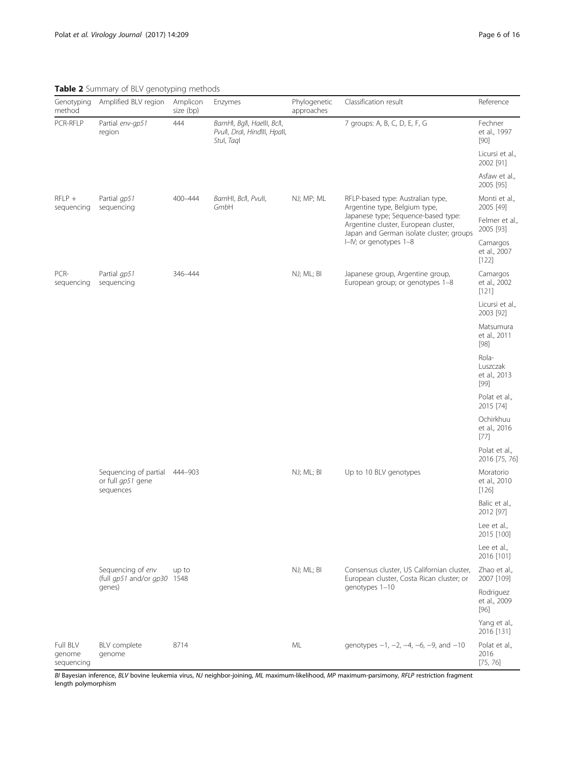<span id="page-5-0"></span>Table 2 Summary of BLV genotyping methods

| Genotyping<br>method             | Amplified BLV region                                    | Amplicon<br>size (bp) | Enzymes                                                                  | Phylogenetic<br>approaches | Classification result                                                                                                   | Reference                                   |
|----------------------------------|---------------------------------------------------------|-----------------------|--------------------------------------------------------------------------|----------------------------|-------------------------------------------------------------------------------------------------------------------------|---------------------------------------------|
| PCR-RFLP                         | Partial env-gp51<br>region                              | 444                   | BamHI, Bgll, Haelll, Bcll,<br>Pvull, Dral, Hindlll, Hpall,<br>Stul, Tagl |                            | 7 groups: A, B, C, D, E, F, G                                                                                           | Fechner<br>et al., 1997<br>$[90]$           |
|                                  |                                                         |                       |                                                                          |                            |                                                                                                                         | Licursi et al.,<br>2002 [91]                |
|                                  |                                                         |                       |                                                                          |                            |                                                                                                                         | Asfaw et al.,<br>2005 [95]                  |
| $RFLP +$<br>sequencing           | Partial qp51<br>sequencing                              | 400-444               | BamHI, Bcll, Pvull,<br>GmbH                                              | NJ; MP; ML                 | RFLP-based type: Australian type,<br>Argentine type, Belgium type,                                                      | Monti et al.,<br>2005 [49]                  |
|                                  |                                                         |                       |                                                                          |                            | Japanese type; Sequence-based type:<br>Argentine cluster, European cluster,<br>Japan and German isolate cluster; groups | Felmer et al.,<br>2005 [93]                 |
|                                  |                                                         |                       |                                                                          |                            | I-IV; or genotypes 1-8                                                                                                  | Camargos<br>et al., 2007<br>[122]           |
| PCR-<br>sequencing               | Partial qp51<br>sequencing                              | 346-444               |                                                                          | NJ; ML; BI                 | Japanese group, Argentine group,<br>European group; or genotypes 1-8                                                    | Camargos<br>et al., 2002<br>[121]           |
|                                  |                                                         |                       |                                                                          |                            |                                                                                                                         | Licursi et al.,<br>2003 [92]                |
|                                  |                                                         |                       |                                                                          |                            |                                                                                                                         | Matsumura<br>et al., 2011<br>$[98]$         |
|                                  |                                                         |                       |                                                                          |                            |                                                                                                                         | Rola-<br>Luszczak<br>et al., 2013<br>$[99]$ |
|                                  |                                                         |                       |                                                                          |                            |                                                                                                                         | Polat et al.,<br>2015 [74]                  |
|                                  |                                                         |                       |                                                                          |                            |                                                                                                                         | Ochirkhuu<br>et al., 2016<br>$[77]$         |
|                                  |                                                         |                       |                                                                          |                            |                                                                                                                         | Polat et al.,<br>2016 [75, 76]              |
|                                  | Sequencing of partial<br>or full gp51 gene<br>sequences | 444-903               |                                                                          | NJ; ML; BI                 | Up to 10 BLV genotypes                                                                                                  | Moratorio<br>et al., 2010<br>$[126]$        |
|                                  |                                                         |                       |                                                                          |                            |                                                                                                                         | Balic et al.,<br>2012 [97]                  |
|                                  |                                                         |                       |                                                                          |                            |                                                                                                                         | Lee et al.,<br>2015 [100]                   |
|                                  |                                                         |                       |                                                                          |                            |                                                                                                                         | Lee et al.,<br>2016 [101]                   |
|                                  | Sequencing of env<br>(full gp51 and/or gp30             | up to<br>1548         |                                                                          | NJ; ML; BI                 | Consensus cluster, US Californian cluster,<br>European cluster, Costa Rican cluster; or                                 | Zhao et al.,<br>2007 [109]                  |
|                                  | genes)                                                  |                       |                                                                          |                            | genotypes 1-10                                                                                                          | Rodriguez<br>et al., 2009<br>$[96]$         |
|                                  |                                                         |                       |                                                                          |                            |                                                                                                                         | Yang et al.,<br>2016 [131]                  |
| Full BLV<br>genome<br>sequencing | BLV complete<br>genome                                  | 8714                  |                                                                          | ML                         | genotypes $-1$ , $-2$ , $-4$ , $-6$ , $-9$ , and $-10$                                                                  | Polat et al.,<br>2016<br>[75, 76]           |

BI Bayesian inference, BLV bovine leukemia virus, NJ neighbor-joining, ML maximum-likelihood, MP maximum-parsimony, RFLP restriction fragment length polymorphism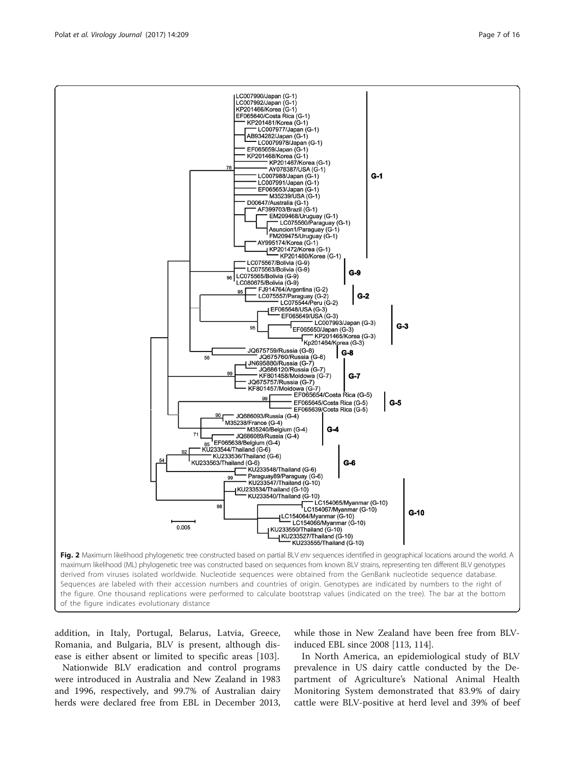addition, in Italy, Portugal, Belarus, Latvia, Greece, Romania, and Bulgaria, BLV is present, although disease is either absent or limited to specific areas [[103\]](#page-14-0).

Nationwide BLV eradication and control programs were introduced in Australia and New Zealand in 1983 and 1996, respectively, and 99.7% of Australian dairy herds were declared free from EBL in December 2013,

while those in New Zealand have been free from BLVinduced EBL since 2008 [\[113](#page-14-0), [114\]](#page-14-0).

In North America, an epidemiological study of BLV prevalence in US dairy cattle conducted by the Department of Agriculture's National Animal Health Monitoring System demonstrated that 83.9% of dairy cattle were BLV-positive at herd level and 39% of beef

<span id="page-6-0"></span>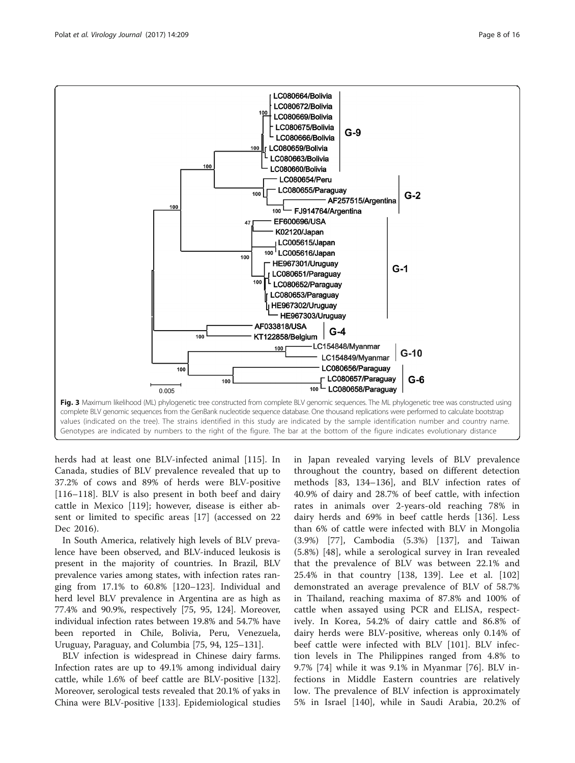<span id="page-7-0"></span>

herds had at least one BLV-infected animal [\[115](#page-14-0)]. In Canada, studies of BLV prevalence revealed that up to 37.2% of cows and 89% of herds were BLV-positive [[116](#page-14-0)–[118\]](#page-14-0). BLV is also present in both beef and dairy cattle in Mexico [\[119](#page-14-0)]; however, disease is either absent or limited to specific areas [[17](#page-12-0)] (accessed on 22 Dec 2016).

In South America, relatively high levels of BLV prevalence have been observed, and BLV-induced leukosis is present in the majority of countries. In Brazil, BLV prevalence varies among states, with infection rates ranging from 17.1% to 60.8% [\[120](#page-14-0)–[123\]](#page-15-0). Individual and herd level BLV prevalence in Argentina are as high as 77.4% and 90.9%, respectively [[75,](#page-13-0) [95](#page-14-0), [124](#page-15-0)]. Moreover, individual infection rates between 19.8% and 54.7% have been reported in Chile, Bolivia, Peru, Venezuela, Uruguay, Paraguay, and Columbia [[75](#page-13-0), [94](#page-14-0), [125](#page-15-0)–[131\]](#page-15-0).

BLV infection is widespread in Chinese dairy farms. Infection rates are up to 49.1% among individual dairy cattle, while 1.6% of beef cattle are BLV-positive [\[132](#page-15-0)]. Moreover, serological tests revealed that 20.1% of yaks in China were BLV-positive [[133\]](#page-15-0). Epidemiological studies in Japan revealed varying levels of BLV prevalence throughout the country, based on different detection methods [[83](#page-14-0), [134](#page-15-0)–[136](#page-15-0)], and BLV infection rates of 40.9% of dairy and 28.7% of beef cattle, with infection rates in animals over 2-years-old reaching 78% in dairy herds and 69% in beef cattle herds [\[136](#page-15-0)]. Less than 6% of cattle were infected with BLV in Mongolia (3.9%) [\[77](#page-13-0)], Cambodia (5.3%) [[137\]](#page-15-0), and Taiwan (5.8%) [[48\]](#page-13-0), while a serological survey in Iran revealed that the prevalence of BLV was between 22.1% and 25.4% in that country [[138, 139\]](#page-15-0). Lee et al. [\[102](#page-14-0)] demonstrated an average prevalence of BLV of 58.7% in Thailand, reaching maxima of 87.8% and 100% of cattle when assayed using PCR and ELISA, respectively. In Korea, 54.2% of dairy cattle and 86.8% of dairy herds were BLV-positive, whereas only 0.14% of beef cattle were infected with BLV [[101\]](#page-14-0). BLV infection levels in The Philippines ranged from 4.8% to 9.7% [[74](#page-13-0)] while it was 9.1% in Myanmar [[76\]](#page-13-0). BLV infections in Middle Eastern countries are relatively low. The prevalence of BLV infection is approximately 5% in Israel [[140\]](#page-15-0), while in Saudi Arabia, 20.2% of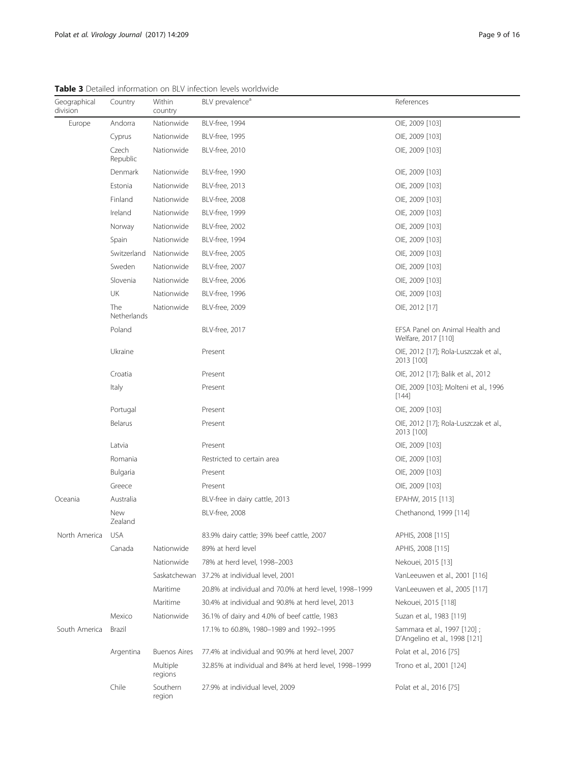<span id="page-8-0"></span>Table 3 Detailed information on BLV infection levels worldwide

|                          |                    |                     | <b>WINTO A</b> PULLMILLY INTOITTIMEDIT ON DEV INTULLIUN ILVUID WONGWIMUL |                                                              |
|--------------------------|--------------------|---------------------|--------------------------------------------------------------------------|--------------------------------------------------------------|
| Geographical<br>division | Country            | Within<br>country   | BLV prevalence <sup>d</sup>                                              | References                                                   |
| Europe                   | Andorra            | Nationwide          | <b>BLV-free, 1994</b>                                                    | OIE, 2009 [103]                                              |
|                          | Cyprus             | Nationwide          | <b>BLV-free, 1995</b>                                                    | OIE, 2009 [103]                                              |
|                          | Czech<br>Republic  | Nationwide          | <b>BLV-free, 2010</b>                                                    | OIE, 2009 [103]                                              |
|                          | Denmark            | Nationwide          | <b>BLV-free, 1990</b>                                                    | OIE, 2009 [103]                                              |
|                          | Estonia            | Nationwide          | <b>BLV-free, 2013</b>                                                    | OIE, 2009 [103]                                              |
|                          | Finland            | Nationwide          | <b>BLV-free, 2008</b>                                                    | OIE, 2009 [103]                                              |
|                          | Ireland            | Nationwide          | <b>BLV-free, 1999</b>                                                    | OIE, 2009 [103]                                              |
|                          | Norway             | Nationwide          | <b>BLV-free, 2002</b>                                                    | OIE, 2009 [103]                                              |
|                          | Spain              | Nationwide          | <b>BLV-free, 1994</b>                                                    | OIE, 2009 [103]                                              |
|                          | Switzerland        | Nationwide          | <b>BLV-free, 2005</b>                                                    | OIE, 2009 [103]                                              |
|                          | Sweden             | Nationwide          | BLV-free, 2007                                                           | OIE, 2009 [103]                                              |
|                          | Slovenia           | Nationwide          | <b>BLV-free, 2006</b>                                                    | OIE, 2009 [103]                                              |
|                          | UK                 | Nationwide          | <b>BLV-free, 1996</b>                                                    | OIE, 2009 [103]                                              |
|                          | The<br>Netherlands | Nationwide          | <b>BLV-free, 2009</b>                                                    | OIE, 2012 [17]                                               |
|                          | Poland             |                     | <b>BLV-free, 2017</b>                                                    | EFSA Panel on Animal Health and<br>Welfare, 2017 [110]       |
|                          | Ukraine            |                     | Present                                                                  | OIE, 2012 [17]; Rola-Luszczak et al.,<br>2013 [100]          |
|                          | Croatia            |                     | Present                                                                  | OIE, 2012 [17]; Balik et al., 2012                           |
|                          | Italy              |                     | Present                                                                  | OIE, 2009 [103]; Molteni et al., 1996<br>$[144]$             |
|                          | Portugal           |                     | Present                                                                  | OIE, 2009 [103]                                              |
|                          | Belarus            |                     | Present                                                                  | OIE, 2012 [17]; Rola-Luszczak et al.,<br>2013 [100]          |
|                          | Latvia             |                     | Present                                                                  | OIE, 2009 [103]                                              |
|                          | Romania            |                     | Restricted to certain area                                               | OIE, 2009 [103]                                              |
|                          | Bulgaria           |                     | Present                                                                  | OIE, 2009 [103]                                              |
|                          | Greece             |                     | Present                                                                  | OIE, 2009 [103]                                              |
| Oceania                  | Australia          |                     | BLV-free in dairy cattle, 2013                                           | EPAHW, 2015 [113]                                            |
|                          | New<br>Zealand     |                     | <b>BLV-free, 2008</b>                                                    | Chethanond, 1999 [114]                                       |
| North America            | usa                |                     | 83.9% dairy cattle; 39% beef cattle, 2007                                | APHIS, 2008 [115]                                            |
|                          | Canada             | Nationwide          | 89% at herd level                                                        | APHIS, 2008 [115]                                            |
|                          |                    | Nationwide          | 78% at herd level, 1998-2003                                             | Nekouei, 2015 [13]                                           |
|                          |                    |                     | Saskatchewan 37.2% at individual level, 2001                             | VanLeeuwen et al., 2001 [116]                                |
|                          |                    | Maritime            | 20.8% at individual and 70.0% at herd level, 1998-1999                   | VanLeeuwen et al., 2005 [117]                                |
|                          |                    | Maritime            | 30.4% at individual and 90.8% at herd level, 2013                        | Nekouei, 2015 [118]                                          |
|                          | Mexico             | Nationwide          | 36.1% of dairy and 4.0% of beef cattle, 1983                             | Suzan et al., 1983 [119]                                     |
| South America            | Brazil             |                     | 17.1% to 60.8%, 1980-1989 and 1992-1995                                  | Sammara et al., 1997 [120];<br>D'Angelino et al., 1998 [121] |
|                          | Argentina          | <b>Buenos Aires</b> | 77.4% at individual and 90.9% at herd level, 2007                        | Polat et al., 2016 [75]                                      |
|                          |                    | Multiple<br>regions | 32.85% at individual and 84% at herd level, 1998-1999                    | Trono et al., 2001 [124]                                     |
|                          | Chile              | Southern<br>region  | 27.9% at individual level, 2009                                          | Polat et al., 2016 [75]                                      |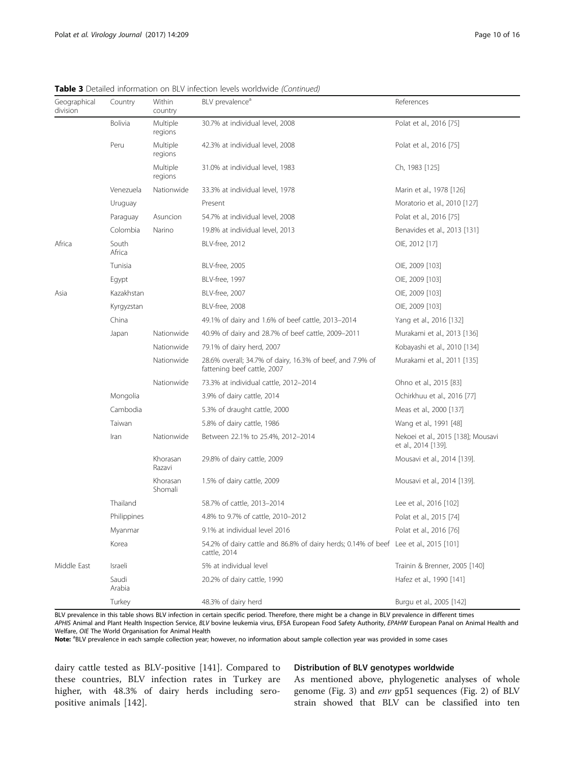| Geographical<br>division | Country         | Within<br>country   | BLV prevalence <sup>d</sup>                                                                          | References                                                |  |  |
|--------------------------|-----------------|---------------------|------------------------------------------------------------------------------------------------------|-----------------------------------------------------------|--|--|
|                          | Bolivia         | Multiple<br>regions | 30.7% at individual level, 2008                                                                      | Polat et al., 2016 [75]                                   |  |  |
|                          | Peru            | Multiple<br>regions | 42.3% at individual level, 2008                                                                      | Polat et al., 2016 [75]                                   |  |  |
|                          |                 | Multiple<br>regions | 31.0% at individual level, 1983                                                                      | Ch, 1983 [125]                                            |  |  |
|                          | Venezuela       | Nationwide          | 33.3% at individual level, 1978                                                                      | Marin et al., 1978 [126]                                  |  |  |
|                          | Uruguay         |                     | Present                                                                                              | Moratorio et al., 2010 [127]                              |  |  |
|                          | Paraguay        | Asuncion            | 54.7% at individual level, 2008                                                                      | Polat et al., 2016 [75]                                   |  |  |
|                          | Colombia        | Narino              | 19.8% at individual level, 2013                                                                      | Benavides et al., 2013 [131]                              |  |  |
| Africa                   | South<br>Africa |                     | <b>BLV-free, 2012</b>                                                                                | OIE, 2012 [17]                                            |  |  |
|                          | Tunisia         |                     | <b>BLV-free, 2005</b>                                                                                | OIE, 2009 [103]                                           |  |  |
|                          | Egypt           |                     | BLV-free, 1997                                                                                       | OIE, 2009 [103]                                           |  |  |
| Asia                     | Kazakhstan      |                     | BLV-free, 2007                                                                                       | OIE, 2009 [103]                                           |  |  |
|                          | Kyrgyzstan      |                     | <b>BLV-free, 2008</b>                                                                                | OIE, 2009 [103]                                           |  |  |
|                          | China           |                     | 49.1% of dairy and 1.6% of beef cattle, 2013-2014                                                    | Yang et al., 2016 [132]                                   |  |  |
|                          | Japan           | Nationwide          | 40.9% of dairy and 28.7% of beef cattle, 2009-2011                                                   | Murakami et al., 2013 [136]                               |  |  |
|                          |                 | Nationwide          | 79.1% of dairy herd, 2007                                                                            | Kobayashi et al., 2010 [134]                              |  |  |
|                          |                 | Nationwide          | 28.6% overall; 34.7% of dairy, 16.3% of beef, and 7.9% of<br>fattening beef cattle, 2007             | Murakami et al., 2011 [135]                               |  |  |
|                          |                 | Nationwide          | 73.3% at individual cattle, 2012-2014                                                                | Ohno et al., 2015 [83]                                    |  |  |
|                          | Mongolia        |                     | 3.9% of dairy cattle, 2014                                                                           | Ochirkhuu et al., 2016 [77]                               |  |  |
|                          | Cambodia        |                     | 5.3% of draught cattle, 2000                                                                         | Meas et al., 2000 [137]                                   |  |  |
|                          | Taiwan          |                     | 5.8% of dairy cattle, 1986                                                                           | Wang et al., 1991 [48]                                    |  |  |
|                          | Iran            | Nationwide          | Between 22.1% to 25.4%, 2012-2014                                                                    | Nekoei et al., 2015 [138]; Mousavi<br>et al., 2014 [139]. |  |  |
|                          |                 | Khorasan<br>Razavi  | 29.8% of dairy cattle, 2009                                                                          | Mousavi et al., 2014 [139].                               |  |  |
|                          |                 | Khorasan<br>Shomali | 1.5% of dairy cattle, 2009                                                                           | Mousavi et al., 2014 [139].                               |  |  |
|                          | Thailand        |                     | 58.7% of cattle, 2013-2014                                                                           | Lee et al., 2016 [102]                                    |  |  |
|                          | Philippines     |                     | 4.8% to 9.7% of cattle, 2010-2012                                                                    | Polat et al., 2015 [74]                                   |  |  |
|                          | Myanmar         |                     | 9.1% at individual level 2016                                                                        | Polat et al., 2016 [76]                                   |  |  |
|                          | Korea           |                     | 54.2% of dairy cattle and 86.8% of dairy herds; 0.14% of beef Lee et al., 2015 [101]<br>cattle, 2014 |                                                           |  |  |
| Middle East              | Israeli         |                     | 5% at individual level                                                                               | Trainin & Brenner, 2005 [140]                             |  |  |
|                          | Saudi<br>Arabia |                     | 20.2% of dairy cattle, 1990                                                                          | Hafez et al., 1990 [141]                                  |  |  |
|                          | Turkey          |                     | 48.3% of dairy herd                                                                                  | Burgu et al., 2005 [142]                                  |  |  |

**Table 3** Detailed information on BLV infection levels worldwide *(Continued)* 

BLV prevalence in this table shows BLV infection in certain specific period. Therefore, there might be a change in BLV prevalence in different times APHIS Animal and Plant Health Inspection Service, BLV bovine leukemia virus, EFSA European Food Safety Authority, EPAHW European Panal on Animal Health and Welfare, OIE The World Organisation for Animal Health

Note: <sup>a</sup>BLV prevalence in each sample collection year; however, no information about sample collection year was provided in some cases

dairy cattle tested as BLV-positive [[141\]](#page-15-0). Compared to these countries, BLV infection rates in Turkey are higher, with 48.3% of dairy herds including seropositive animals [[142\]](#page-15-0).

# Distribution of BLV genotypes worldwide

As mentioned above, phylogenetic analyses of whole genome (Fig. [3\)](#page-7-0) and env gp51 sequences (Fig. [2](#page-6-0)) of BLV strain showed that BLV can be classified into ten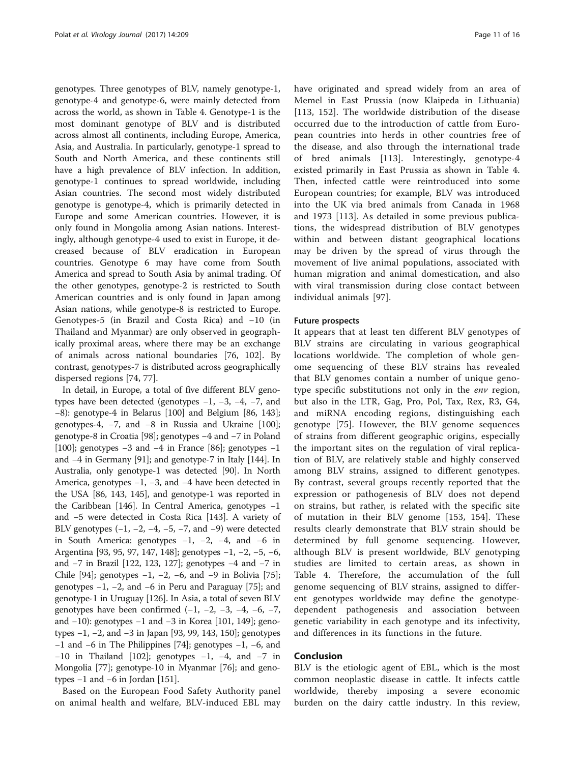genotypes. Three genotypes of BLV, namely genotype-1, genotype-4 and genotype-6, were mainly detected from across the world, as shown in Table [4.](#page-11-0) Genotype-1 is the most dominant genotype of BLV and is distributed across almost all continents, including Europe, America, Asia, and Australia. In particularly, genotype-1 spread to South and North America, and these continents still have a high prevalence of BLV infection. In addition, genotype-1 continues to spread worldwide, including Asian countries. The second most widely distributed genotype is genotype-4, which is primarily detected in Europe and some American countries. However, it is only found in Mongolia among Asian nations. Interestingly, although genotype-4 used to exist in Europe, it decreased because of BLV eradication in European countries. Genotype 6 may have come from South America and spread to South Asia by animal trading. Of the other genotypes, genotype-2 is restricted to South American countries and is only found in Japan among Asian nations, while genotype-8 is restricted to Europe. Genotypes-5 (in Brazil and Costa Rica) and −10 (in Thailand and Myanmar) are only observed in geographically proximal areas, where there may be an exchange of animals across national boundaries [\[76,](#page-13-0) [102](#page-14-0)]. By contrast, genotypes-7 is distributed across geographically dispersed regions [[74](#page-13-0), [77](#page-13-0)].

In detail, in Europe, a total of five different BLV genotypes have been detected (genotypes −1, −3, −4, −7, and −8): genotype-4 in Belarus [[100](#page-14-0)] and Belgium [[86,](#page-14-0) [143](#page-15-0)]; genotypes-4, −7, and −8 in Russia and Ukraine [[100](#page-14-0)]; genotype-8 in Croatia [\[98\]](#page-14-0); genotypes −4 and −7 in Poland [[100](#page-14-0)]; genotypes −3 and −4 in France [\[86\]](#page-14-0); genotypes −1 and −4 in Germany [\[91\]](#page-14-0); and genotype-7 in Italy [\[144\]](#page-15-0). In Australia, only genotype-1 was detected [\[90\]](#page-14-0). In North America, genotypes −1, −3, and −4 have been detected in the USA [\[86,](#page-14-0) [143](#page-15-0), [145\]](#page-15-0), and genotype-1 was reported in the Caribbean [[146](#page-15-0)]. In Central America, genotypes −1 and −5 were detected in Costa Rica [[143](#page-15-0)]. A variety of BLV genotypes  $(-1, -2, -4, -5, -7, \text{ and } -9)$  were detected in South America: genotypes −1, −2, −4, and −6 in Argentina [[93](#page-14-0), [95, 97,](#page-14-0) [147](#page-15-0), [148\]](#page-15-0); genotypes −1, −2, −5, −6, and −7 in Brazil [[122](#page-14-0), [123](#page-15-0), [127](#page-15-0)]; genotypes −4 and −7 in Chile [[94](#page-14-0)]; genotypes  $-1$ ,  $-2$ ,  $-6$ , and  $-9$  in Bolivia [[75](#page-13-0)]; genotypes −1, −2, and −6 in Peru and Paraguay [\[75](#page-13-0)]; and genotype-1 in Uruguay [\[126\]](#page-15-0). In Asia, a total of seven BLV genotypes have been confirmed  $(-1, -2, -3, -4, -6, -7,$ and −10): genotypes −1 and −3 in Korea [[101](#page-14-0), [149\]](#page-15-0); genotypes −1, −2, and −3 in Japan [\[93, 99](#page-14-0), [143](#page-15-0), [150\]](#page-15-0); genotypes −1 and −6 in The Philippines [\[74\]](#page-13-0); genotypes −1, −6, and −10 in Thailand [[102](#page-14-0)]; genotypes −1, −4, and −7 in Mongolia [[77](#page-13-0)]; genotype-10 in Myanmar [[76](#page-13-0)]; and genotypes  $-1$  and  $-6$  in Jordan [\[151](#page-15-0)].

Based on the European Food Safety Authority panel on animal health and welfare, BLV-induced EBL may have originated and spread widely from an area of Memel in East Prussia (now Klaipeda in Lithuania) [[113](#page-14-0), [152](#page-15-0)]. The worldwide distribution of the disease occurred due to the introduction of cattle from European countries into herds in other countries free of the disease, and also through the international trade of bred animals [\[113](#page-14-0)]. Interestingly, genotype-4 existed primarily in East Prussia as shown in Table [4](#page-11-0). Then, infected cattle were reintroduced into some European countries; for example, BLV was introduced into the UK via bred animals from Canada in 1968 and 1973 [\[113](#page-14-0)]. As detailed in some previous publications, the widespread distribution of BLV genotypes within and between distant geographical locations may be driven by the spread of virus through the movement of live animal populations, associated with human migration and animal domestication, and also with viral transmission during close contact between individual animals [\[97\]](#page-14-0).

#### Future prospects

It appears that at least ten different BLV genotypes of BLV strains are circulating in various geographical locations worldwide. The completion of whole genome sequencing of these BLV strains has revealed that BLV genomes contain a number of unique genotype specific substitutions not only in the env region, but also in the LTR, Gag, Pro, Pol, Tax, Rex, R3, G4, and miRNA encoding regions, distinguishing each genotype [\[75](#page-13-0)]. However, the BLV genome sequences of strains from different geographic origins, especially the important sites on the regulation of viral replication of BLV, are relatively stable and highly conserved among BLV strains, assigned to different genotypes. By contrast, several groups recently reported that the expression or pathogenesis of BLV does not depend on strains, but rather, is related with the specific site of mutation in their BLV genome [[153](#page-15-0), [154\]](#page-15-0). These results clearly demonstrate that BLV strain should be determined by full genome sequencing. However, although BLV is present worldwide, BLV genotyping studies are limited to certain areas, as shown in Table [4](#page-11-0). Therefore, the accumulation of the full genome sequencing of BLV strains, assigned to different genotypes worldwide may define the genotypedependent pathogenesis and association between genetic variability in each genotype and its infectivity, and differences in its functions in the future.

# Conclusion

BLV is the etiologic agent of EBL, which is the most common neoplastic disease in cattle. It infects cattle worldwide, thereby imposing a severe economic burden on the dairy cattle industry. In this review,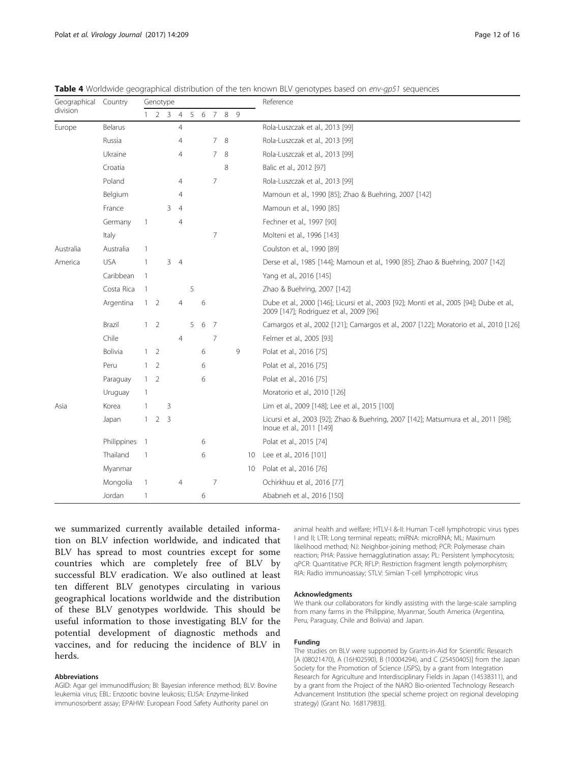| Geographical Country |                | Genotype       |                |                |                |   |   |                |       |   |    | Reference                                                                                                                            |  |
|----------------------|----------------|----------------|----------------|----------------|----------------|---|---|----------------|-------|---|----|--------------------------------------------------------------------------------------------------------------------------------------|--|
| division             |                |                |                | 2 <sub>3</sub> | $\overline{4}$ | 5 | 6 |                | 7 8 9 |   |    |                                                                                                                                      |  |
| Europe               | Belarus        |                |                |                | 4              |   |   |                |       |   |    | Rola-Luszczak et al., 2013 [99]                                                                                                      |  |
|                      | Russia         |                |                |                | 4              |   |   | $\overline{7}$ | 8     |   |    | Rola-Luszczak et al., 2013 [99]                                                                                                      |  |
|                      | Ukraine        |                |                |                | 4              |   |   | 7              | -8    |   |    | Rola-Luszczak et al., 2013 [99]                                                                                                      |  |
|                      | Croatia        |                |                |                |                |   |   |                | 8     |   |    | Balic et al., 2012 [97]                                                                                                              |  |
|                      | Poland         |                |                |                | 4              |   |   | 7              |       |   |    | Rola-Luszczak et al., 2013 [99]                                                                                                      |  |
|                      | Belgium        |                |                |                | 4              |   |   |                |       |   |    | Mamoun et al., 1990 [85]; Zhao & Buehring, 2007 [142]                                                                                |  |
|                      | France         |                |                | 3              | $\overline{4}$ |   |   |                |       |   |    | Mamoun et al., 1990 [85]                                                                                                             |  |
|                      | Germany        | $\mathbf{1}$   |                |                | 4              |   |   |                |       |   |    | Fechner et al., 1997 [90]                                                                                                            |  |
|                      | Italy          |                |                |                |                |   |   | 7              |       |   |    | Molteni et al., 1996 [143]                                                                                                           |  |
| Australia            | Australia      |                |                |                |                |   |   |                |       |   |    | Coulston et al., 1990 [89]                                                                                                           |  |
| America              | <b>USA</b>     | 1              |                |                | $3 \quad 4$    |   |   |                |       |   |    | Derse et al., 1985 [144]; Mamoun et al., 1990 [85]; Zhao & Buehring, 2007 [142]                                                      |  |
|                      | Caribbean      | $\overline{1}$ |                |                |                |   |   |                |       |   |    | Yang et al., 2016 [145]                                                                                                              |  |
|                      | Costa Rica     |                |                |                |                | 5 |   |                |       |   |    | Zhao & Buehring, 2007 [142]                                                                                                          |  |
|                      | Argentina      | $\mathbf{1}$   | 2              |                | 4              |   | 6 |                |       |   |    | Dube et al., 2000 [146]; Licursi et al., 2003 [92]; Monti et al., 2005 [94]; Dube et al.,<br>2009 [147]; Rodriguez et al., 2009 [96] |  |
|                      | Brazil         | $\mathbf{1}$   | $\overline{2}$ |                |                | 5 | 6 | -7             |       |   |    | Camargos et al., 2002 [121]; Camargos et al., 2007 [122]; Moratorio et al., 2010 [126]                                               |  |
|                      | Chile          |                |                |                | $\overline{4}$ |   |   | 7              |       |   |    | Felmer et al., 2005 [93]                                                                                                             |  |
|                      | <b>Bolivia</b> |                | 1 <sup>2</sup> |                |                |   | 6 |                |       | 9 |    | Polat et al., 2016 [75]                                                                                                              |  |
|                      | Peru           |                | $1\quad 2$     |                |                |   | 6 |                |       |   |    | Polat et al., 2016 [75]                                                                                                              |  |
|                      | Paraguay       |                | $1\quad 2$     |                |                |   | 6 |                |       |   |    | Polat et al., 2016 [75]                                                                                                              |  |
|                      | Uruguay        | -1             |                |                |                |   |   |                |       |   |    | Moratorio et al., 2010 [126]                                                                                                         |  |
| Asia                 | Korea          | -1             |                | 3              |                |   |   |                |       |   |    | Lim et al., 2009 [148]; Lee et al., 2015 [100]                                                                                       |  |
|                      | Japan          | $\mathbf{1}$   | $\overline{2}$ | 3              |                |   |   |                |       |   |    | Licursi et al., 2003 [92]; Zhao & Buehring, 2007 [142]; Matsumura et al., 2011 [98];<br>Inoue et al., 2011 [149]                     |  |
|                      | Philippines    | - 1            |                |                |                |   | 6 |                |       |   |    | Polat et al., 2015 [74]                                                                                                              |  |
|                      | Thailand       | 1              |                |                |                |   | 6 |                |       |   |    | 10 Lee et al., 2016 [101]                                                                                                            |  |
|                      | Myanmar        |                |                |                |                |   |   |                |       |   | 10 | Polat et al., 2016 [76]                                                                                                              |  |
|                      | Mongolia       | $\mathbf{1}$   |                |                | 4              |   |   | 7              |       |   |    | Ochirkhuu et al., 2016 [77]                                                                                                          |  |
|                      | Jordan         | 1              |                |                |                |   | 6 |                |       |   |    | Ababneh et al., 2016 [150]                                                                                                           |  |

<span id="page-11-0"></span>Table 4 Worldwide geographical distribution of the ten known BLV genotypes based on env-qp51 sequences

we summarized currently available detailed information on BLV infection worldwide, and indicated that BLV has spread to most countries except for some countries which are completely free of BLV by successful BLV eradication. We also outlined at least ten different BLV genotypes circulating in various geographical locations worldwide and the distribution of these BLV genotypes worldwide. This should be useful information to those investigating BLV for the potential development of diagnostic methods and vaccines, and for reducing the incidence of BLV in herds.

#### Abbreviations

animal health and welfare; HTLV-I &-II: Human T-cell lymphotropic virus types I and II; LTR: Long terminal repeats; miRNA: microRNA; ML: Maximum likelihood method; NJ: Neighbor-joining method; PCR: Polymerase chain reaction; PHA: Passive hemagglutination assay; PL: Persistent lymphocytosis; qPCR: Quantitative PCR; RFLP: Restriction fragment length polymorphism; RIA: Radio immunoassay; STLV: Simian T-cell lymphotropic virus

#### Acknowledgments

We thank our collaborators for kindly assisting with the large-scale sampling from many farms in the Philippine, Myanmar, South America (Argentina, Peru, Paraguay, Chile and Bolivia) and Japan.

#### Funding

The studies on BLV were supported by Grants-in-Aid for Scientific Research [A (08021470), A (16H02590), B (10004294), and C (25450405)] from the Japan Society for the Promotion of Science (JSPS), by a grant from Integration Research for Agriculture and Interdisciplinary Fields in Japan (14538311), and by a grant from the Project of the NARO Bio-oriented Technology Research Advancement Institution (the special scheme project on regional developing strategy) (Grant No. 16817983)].

AGID: Agar gel immunodiffusion; BI: Bayesian inference method; BLV: Bovine leukemia virus; EBL: Enzootic bovine leukosis; ELISA: Enzyme-linked immunosorbent assay; EPAHW: European Food Safety Authority panel on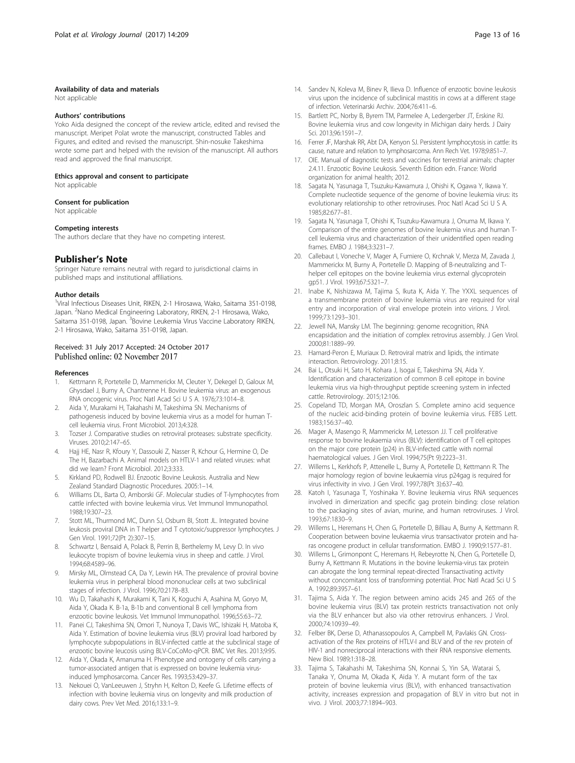#### <span id="page-12-0"></span>Availability of data and materials

Not applicable

#### Authors' contributions

Yoko Aida designed the concept of the review article, edited and revised the manuscript. Meripet Polat wrote the manuscript, constructed Tables and Figures, and edited and revised the manuscript. Shin-nosuke Takeshima wrote some part and helped with the revision of the manuscript. All authors read and approved the final manuscript.

#### Ethics approval and consent to participate

Not applicable

#### Consent for publication

Not applicable

#### Competing interests

The authors declare that they have no competing interest.

### Publisher's Note

Springer Nature remains neutral with regard to jurisdictional claims in published maps and institutional affiliations.

#### Author details

<sup>1</sup>Viral Infectious Diseases Unit, RIKEN, 2-1 Hirosawa, Wako, Saitama 351-0198, Japan. <sup>2</sup>Nano Medical Engineering Laboratory, RIKEN, 2-1 Hirosawa, Wako, Saitama 351-0198, Japan. <sup>3</sup>Bovine Leukemia Virus Vaccine Laboratory RIKEN, 2-1 Hirosawa, Wako, Saitama 351-0198, Japan.

# Received: 31 July 2017 Accepted: 24 October 2017 Published online: 02 November 2017

#### References

- Kettmann R, Portetelle D, Mammerickx M, Cleuter Y, Dekegel D, Galoux M, Ghysdael J, Burny A, Chantrenne H. Bovine leukemia virus: an exogenous RNA oncogenic virus. Proc Natl Acad Sci U S A. 1976;73:1014–8.
- 2. Aida Y, Murakami H, Takahashi M, Takeshima SN. Mechanisms of pathogenesis induced by bovine leukemia virus as a model for human Tcell leukemia virus. Front Microbiol. 2013;4:328.
- 3. Tozser J. Comparative studies on retroviral proteases: substrate specificity. Viruses. 2010;2:147–65.
- 4. Hajj HE, Nasr R, Kfoury Y, Dassouki Z, Nasser R, Kchour G, Hermine O, De The H, Bazarbachi A. Animal models on HTLV-1 and related viruses: what did we learn? Front Microbiol. 2012;3:333.
- 5. Kirkland PD, Rodwell BJ. Enzootic Bovine Leukosis. Australia and New Zealand Standard Diagnostic Procedures. 2005:1–14.
- 6. Williams DL, Barta O, Amborski GF. Molecular studies of T-lymphocytes from cattle infected with bovine leukemia virus. Vet Immunol Immunopathol. 1988;19:307–23.
- 7. Stott ML, Thurmond MC, Dunn SJ, Osburn BI, Stott JL. Integrated bovine leukosis proviral DNA in T helper and T cytotoxic/suppressor lymphocytes. J Gen Virol. 1991;72(Pt 2):307–15.
- Schwartz I, Bensaid A, Polack B, Perrin B, Berthelemy M, Levy D. In vivo leukocyte tropism of bovine leukemia virus in sheep and cattle. J Virol. 1994;68:4589–96.
- 9. Mirsky ML, Olmstead CA, Da Y, Lewin HA. The prevalence of proviral bovine leukemia virus in peripheral blood mononuclear cells at two subclinical stages of infection. J Virol. 1996;70:2178–83.
- 10. Wu D, Takahashi K, Murakami K, Tani K, Koguchi A, Asahina M, Goryo M, Aida Y, Okada K. B-1a, B-1b and conventional B cell lymphoma from enzootic bovine leukosis. Vet Immunol Immunopathol. 1996;55:63–72.
- 11. Panei CJ, Takeshima SN, Omori T, Nunoya T, Davis WC, Ishizaki H, Matoba K, Aida Y. Estimation of bovine leukemia virus (BLV) proviral load harbored by lymphocyte subpopulations in BLV-infected cattle at the subclinical stage of enzootic bovine leucosis using BLV-CoCoMo-qPCR. BMC Vet Res. 2013;9:95.
- 12. Aida Y, Okada K, Amanuma H. Phenotype and ontogeny of cells carrying a tumor-associated antigen that is expressed on bovine leukemia virusinduced lymphosarcoma. Cancer Res. 1993;53:429–37.
- 13. Nekouei O, VanLeeuwen J, Stryhn H, Kelton D, Keefe G. Lifetime effects of infection with bovine leukemia virus on longevity and milk production of dairy cows. Prev Vet Med. 2016;133:1–9.
- 14. Sandev N, Koleva M, Binev R, Ilieva D. Influence of enzootic bovine leukosis virus upon the incidence of subclinical mastitis in cows at a different stage of infection. Veterinarski Archiv. 2004;76:411–6.
- 15. Bartlett PC, Norby B, Byrem TM, Parmelee A, Ledergerber JT, Erskine RJ. Bovine leukemia virus and cow longevity in Michigan dairy herds. J Dairy Sci. 2013;96:1591–7.
- 16. Ferrer JF, Marshak RR, Abt DA, Kenyon SJ. Persistent lymphocytosis in cattle: its cause, nature and relation to lymphosarcoma. Ann Rech Vet. 1978;9:851–7.
- 17. OIE. Manual of diagnostic tests and vaccines for terrestrial animals: chapter 2.4.11. Enzootic Bovine Leukosis. Seventh Edition edn. France: World organization for animal health; 2012.
- 18. Sagata N, Yasunaga T, Tsuzuku-Kawamura J, Ohishi K, Ogawa Y, Ikawa Y. Complete nucleotide sequence of the genome of bovine leukemia virus: its evolutionary relationship to other retroviruses. Proc Natl Acad Sci U S A. 1985;82:677–81.
- 19. Sagata N, Yasunaga T, Ohishi K, Tsuzuku-Kawamura J, Onuma M, Ikawa Y. Comparison of the entire genomes of bovine leukemia virus and human Tcell leukemia virus and characterization of their unidentified open reading frames. EMBO J. 1984;3:3231–7.
- 20. Callebaut I, Voneche V, Mager A, Fumiere O, Krchnak V, Merza M, Zavada J, Mammerickx M, Burny A, Portetelle D. Mapping of B-neutralizing and Thelper cell epitopes on the bovine leukemia virus external glycoprotein gp51. J Virol. 1993;67:5321–7.
- 21. Inabe K, Nishizawa M, Tajima S, Ikuta K, Aida Y. The YXXL sequences of a transmembrane protein of bovine leukemia virus are required for viral entry and incorporation of viral envelope protein into virions. J Virol. 1999;73:1293–301.
- 22. Jewell NA, Mansky LM. The beginning: genome recognition, RNA encapsidation and the initiation of complex retrovirus assembly. J Gen Virol. 2000;81:1889–99.
- 23. Hamard-Peron E, Muriaux D. Retroviral matrix and lipids, the intimate interaction. Retrovirology. 2011;8:15.
- 24. Bai L, Otsuki H, Sato H, Kohara J, Isogai E, Takeshima SN, Aida Y. Identification and characterization of common B cell epitope in bovine leukemia virus via high-throughput peptide screening system in infected cattle. Retrovirology. 2015;12:106.
- 25. Copeland TD, Morgan MA, Oroszlan S. Complete amino acid sequence of the nucleic acid-binding protein of bovine leukemia virus. FEBS Lett. 1983;156:37–40.
- 26. Mager A, Masengo R, Mammerickx M, Letesson JJ. T cell proliferative response to bovine leukaemia virus (BLV): identification of T cell epitopes on the major core protein (p24) in BLV-infected cattle with normal haematological values. J Gen Virol. 1994;75(Pt 9):2223–31.
- 27. Willems L, Kerkhofs P, Attenelle L, Burny A, Portetelle D, Kettmann R. The major homology region of bovine leukaemia virus p24gag is required for virus infectivity in vivo. J Gen Virol. 1997;78(Pt 3):637–40.
- Katoh I, Yasunaga T, Yoshinaka Y. Bovine leukemia virus RNA sequences involved in dimerization and specific gag protein binding: close relation to the packaging sites of avian, murine, and human retroviruses. J Virol. 1993;67:1830–9.
- 29. Willems L, Heremans H, Chen G, Portetelle D, Billiau A, Burny A, Kettmann R. Cooperation between bovine leukaemia virus transactivator protein and haras oncogene product in cellular transformation. EMBO J. 1990;9:1577–81.
- Willems L, Grimonpont C, Heremans H, Rebeyrotte N, Chen G, Portetelle D, Burny A, Kettmann R. Mutations in the bovine leukemia-virus tax protein can abrogate the long terminal repeat-directed Transactivating activity without concomitant loss of transforming potential. Proc Natl Acad Sci U S A. 1992;89:3957–61.
- 31. Tajima S, Aida Y. The region between amino acids 245 and 265 of the bovine leukemia virus (BLV) tax protein restricts transactivation not only via the BLV enhancer but also via other retrovirus enhancers. J Virol. 2000;74:10939–49.
- 32. Felber BK, Derse D, Athanassopoulos A, Campbell M, Pavlakis GN. Crossactivation of the Rex proteins of HTLV-I and BLV and of the rev protein of HIV-1 and nonreciprocal interactions with their RNA responsive elements. New Biol. 1989;1:318–28.
- 33. Tajima S, Takahashi M, Takeshima SN, Konnai S, Yin SA, Watarai S, Tanaka Y, Onuma M, Okada K, Aida Y. A mutant form of the tax protein of bovine leukemia virus (BLV), with enhanced transactivation activity, increases expression and propagation of BLV in vitro but not in vivo. J Virol. 2003;77:1894–903.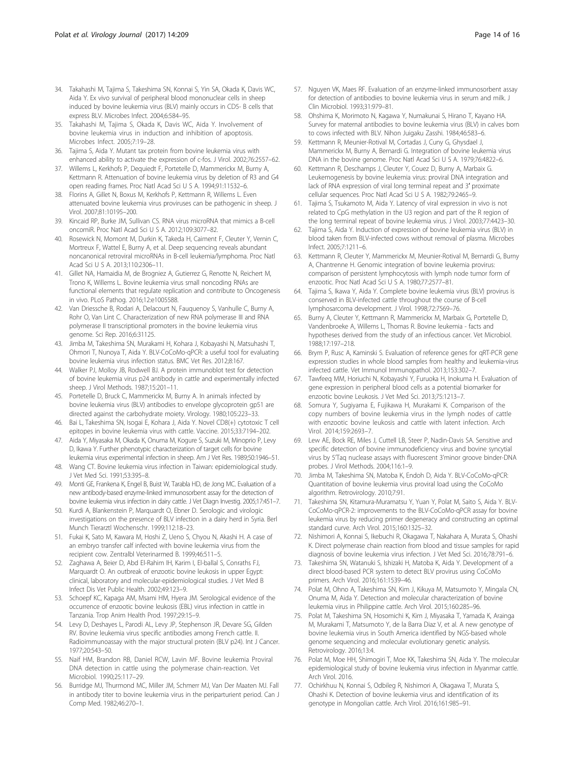- <span id="page-13-0"></span>34. Takahashi M, Tajima S, Takeshima SN, Konnai S, Yin SA, Okada K, Davis WC, Aida Y. Ex vivo survival of peripheral blood mononuclear cells in sheep induced by bovine leukemia virus (BLV) mainly occurs in CD5- B cells that express BLV. Microbes Infect. 2004;6:584–95.
- 35. Takahashi M, Tajima S, Okada K, Davis WC, Aida Y. Involvement of bovine leukemia virus in induction and inhibition of apoptosis. Microbes Infect. 2005;7:19–28.
- 36. Tajima S, Aida Y. Mutant tax protein from bovine leukemia virus with enhanced ability to activate the expression of c-fos. J Virol. 2002;76:2557–62.
- 37. Willems L, Kerkhofs P, Dequiedt F, Portetelle D, Mammerickx M, Burny A, Kettmann R. Attenuation of bovine leukemia virus by deletion of R3 and G4 open reading frames. Proc Natl Acad Sci U S A. 1994;91:11532–6.
- 38. Florins A, Gillet N, Boxus M, Kerkhofs P, Kettmann R, Willems L. Even attenuated bovine leukemia virus proviruses can be pathogenic in sheep. J Virol. 2007;81:10195–200.
- 39. Kincaid RP, Burke JM, Sullivan CS. RNA virus microRNA that mimics a B-cell oncomiR. Proc Natl Acad Sci U S A. 2012;109:3077–82.
- 40. Rosewick N, Momont M, Durkin K, Takeda H, Caiment F, Cleuter Y, Vernin C, Mortreux F, Wattel E, Burny A, et al. Deep sequencing reveals abundant noncanonical retroviral microRNAs in B-cell leukemia/lymphoma. Proc Natl Acad Sci U S A. 2013;110:2306–11.
- 41. Gillet NA, Hamaidia M, de Brogniez A, Gutierrez G, Renotte N, Reichert M, Trono K, Willems L. Bovine leukemia virus small noncoding RNAs are functional elements that regulate replication and contribute to Oncogenesis in vivo. PLoS Pathog. 2016;12:e1005588.
- 42. Van Driessche B, Rodari A, Delacourt N, Fauquenoy S, Vanhulle C, Burny A, Rohr O, Van Lint C. Characterization of new RNA polymerase III and RNA polymerase II transcriptional promoters in the bovine leukemia virus genome. Sci Rep. 2016;6:31125.
- 43. Jimba M, Takeshima SN, Murakami H, Kohara J, Kobayashi N, Matsuhashi T, Ohmori T, Nunoya T, Aida Y. BLV-CoCoMo-qPCR: a useful tool for evaluating bovine leukemia virus infection status. BMC Vet Res. 2012;8:167.
- 44. Walker PJ, Molloy JB, Rodwell BJ. A protein immunoblot test for detection of bovine leukemia virus p24 antibody in cattle and experimentally infected sheep. J Virol Methods. 1987;15:201–11.
- 45. Portetelle D, Bruck C, Mammerickx M, Burny A. In animals infected by bovine leukemia virus (BLV) antibodies to envelope glycoprotein gp51 are directed against the carbohydrate moiety. Virology. 1980;105:223–33.
- 46. Bai L, Takeshima SN, Isogai E, Kohara J, Aida Y. Novel CD8(+) cytotoxic T cell epitopes in bovine leukemia virus with cattle. Vaccine. 2015;33:7194–202.
- 47. Aida Y, Miyasaka M, Okada K, Onuma M, Kogure S, Suzuki M, Minoprio P, Levy D, Ikawa Y. Further phenotypic characterization of target cells for bovine leukemia virus experimental infection in sheep. Am J Vet Res. 1989;50:1946–51.
- 48. Wang CT. Bovine leukemia virus infection in Taiwan: epidemiological study. J Vet Med Sci. 1991;53:395–8.
- 49. Monti GE, Frankena K, Engel B, Buist W, Tarabla HD, de Jong MC. Evaluation of a new antibody-based enzyme-linked immunosorbent assay for the detection of bovine leukemia virus infection in dairy cattle. J Vet Diagn Investig. 2005;17:451–7.
- 50. Kurdi A, Blankenstein P, Marquardt O, Ebner D. Serologic and virologic investigations on the presence of BLV infection in a dairy herd in Syria. Berl Munch Tierarztl Wochenschr. 1999;112:18–23.
- 51. Fukai K, Sato M, Kawara M, Hoshi Z, Ueno S, Chyou N, Akashi H. A case of an embryo transfer calf infected with bovine leukemia virus from the recipient cow. Zentralbl Veterinarmed B. 1999;46:511–5.
- 52. Zaghawa A, Beier D, Abd El-Rahim IH, Karim I, El-ballal S, Conraths FJ, Marquardt O. An outbreak of enzootic bovine leukosis in upper Egypt: clinical, laboratory and molecular-epidemiological studies. J Vet Med B Infect Dis Vet Public Health. 2002;49:123–9.
- 53. Schoepf KC, Kapaga AM, Msami HM, Hyera JM. Serological evidence of the occurrence of enzootic bovine leukosis (EBL) virus infection in cattle in Tanzania. Trop Anim Health Prod. 1997;29:15–9.
- 54. Levy D, Deshayes L, Parodi AL, Levy JP, Stephenson JR, Devare SG, Gilden RV. Bovine leukemia virus specific antibodies among French cattle. II. Radioimmunoassay with the major structural protein (BLV p24). Int J Cancer. 1977;20:543–50.
- 55. Naif HM, Brandon RB, Daniel RCW, Lavin MF. Bovine leukemia Proviral DNA detection in cattle using the polymerase chain-reaction. Vet Microbiol. 1990;25:117–29.
- 56. Burridge MJ, Thurmond MC, Miller JM, Schmerr MJ, Van Der Maaten MJ. Fall in antibody titer to bovine leukemia virus in the periparturient period. Can J Comp Med. 1982;46:270–1.
- 57. Nguyen VK, Maes RF. Evaluation of an enzyme-linked immunosorbent assay for detection of antibodies to bovine leukemia virus in serum and milk. J Clin Microbiol. 1993;31:979–81.
- 58. Ohshima K, Morimoto N, Kagawa Y, Numakunai S, Hirano T, Kayano HA. Survey for maternal antibodies to bovine leukemia virus (BLV) in calves born to cows infected with BLV. Nihon Juigaku Zasshi. 1984;46:583–6.
- Kettmann R, Meunier-Rotival M, Cortadas J, Cuny G, Ghysdael J, Mammerickx M, Burny A, Bernardi G. Integration of bovine leukemia virus DNA in the bovine genome. Proc Natl Acad Sci U S A. 1979;76:4822–6.
- 60. Kettmann R, Deschamps J, Cleuter Y, Couez D, Burny A, Marbaix G. Leukemogenesis by bovine leukemia virus: proviral DNA integration and lack of RNA expression of viral long terminal repeat and 3′ proximate cellular sequences. Proc Natl Acad Sci U S A. 1982;79:2465–9.
- 61. Tajima S, Tsukamoto M, Aida Y. Latency of viral expression in vivo is not related to CpG methylation in the U3 region and part of the R region of the long terminal repeat of bovine leukemia virus. J Virol. 2003;77:4423–30.
- 62. Tajima S, Aida Y. Induction of expression of bovine leukemia virus (BLV) in blood taken from BLV-infected cows without removal of plasma. Microbes Infect. 2005;7:1211–6.
- 63. Kettmann R, Cleuter Y, Mammerickx M, Meunier-Rotival M, Bernardi G, Burny A, Chantrenne H. Genomic integration of bovine leukemia provirus: comparison of persistent lymphocytosis with lymph node tumor form of enzootic. Proc Natl Acad Sci U S A. 1980;77:2577–81.
- 64. Tajima S, Ikawa Y, Aida Y. Complete bovine leukemia virus (BLV) provirus is conserved in BLV-infected cattle throughout the course of B-cell lymphosarcoma development. J Virol. 1998;72:7569–76.
- 65. Burny A, Cleuter Y, Kettmann R, Mammerickx M, Marbaix G, Portetelle D, Vandenbroeke A, Willems L, Thomas R. Bovine leukemia - facts and hypotheses derived from the study of an infectious cancer. Vet Microbiol. 1988;17:197–218.
- 66. Brym P, Rusc A, Kaminski S. Evaluation of reference genes for qRT-PCR gene expression studies in whole blood samples from healthy and leukemia-virus infected cattle. Vet Immunol Immunopathol. 2013;153:302–7.
- 67. Tawfeeq MM, Horiuchi N, Kobayashi Y, Furuoka H, Inokuma H. Evaluation of gene expression in peripheral blood cells as a potential biomarker for enzootic bovine Leukosis. J Vet Med Sci. 2013;75:1213–7.
- 68. Somura Y, Sugiyama E, Fujikawa H, Murakami K. Comparison of the copy numbers of bovine leukemia virus in the lymph nodes of cattle with enzootic bovine leukosis and cattle with latent infection. Arch Virol. 2014;159:2693–7.
- 69. Lew AE, Bock RE, Miles J, Cuttell LB, Steer P, Nadin-Davis SA. Sensitive and specific detection of bovine immunodeficiency virus and bovine syncytial virus by 5'Taq nuclease assays with fluorescent 3'minor groove binder-DNA probes. J Virol Methods. 2004;116:1–9.
- 70. Jimba M, Takeshima SN, Matoba K, Endoh D, Aida Y. BLV-CoCoMo-qPCR: Quantitation of bovine leukemia virus proviral load using the CoCoMo algorithm. Retrovirology. 2010;7:91.
- 71. Takeshima SN, Kitamura-Muramatsu Y, Yuan Y, Polat M, Saito S, Aida Y. BLV-CoCoMo-qPCR-2: improvements to the BLV-CoCoMo-qPCR assay for bovine leukemia virus by reducing primer degeneracy and constructing an optimal standard curve. Arch Virol. 2015;160:1325–32.
- 72. Nishimori A, Konnai S, Ikebuchi R, Okagawa T, Nakahara A, Murata S, Ohashi K. Direct polymerase chain reaction from blood and tissue samples for rapid diagnosis of bovine leukemia virus infection. J Vet Med Sci. 2016;78:791–6.
- 73. Takeshima SN, Watanuki S, Ishizaki H, Matoba K, Aida Y. Development of a direct blood-based PCR system to detect BLV provirus using CoCoMo primers. Arch Virol. 2016;161:1539–46.
- 74. Polat M, Ohno A, Takeshima SN, Kim J, Kikuya M, Matsumoto Y, Mingala CN, Onuma M, Aida Y. Detection and molecular characterization of bovine leukemia virus in Philippine cattle. Arch Virol. 2015;160:285–96.
- 75. Polat M, Takeshima SN, Hosomichi K, Kim J, Miyasaka T, Yamada K, Arainga M, Murakami T, Matsumoto Y, de la Barra Diaz V, et al. A new genotype of bovine leukemia virus in South America identified by NGS-based whole genome sequencing and molecular evolutionary genetic analysis. Retrovirology. 2016;13:4.
- 76. Polat M, Moe HH, Shimogiri T, Moe KK, Takeshima SN, Aida Y. The molecular epidemiological study of bovine leukemia virus infection in Myanmar cattle. Arch Virol. 2016.
- 77. Ochirkhuu N, Konnai S, Odbileg R, Nishimori A, Okagawa T, Murata S, Ohashi K. Detection of bovine leukemia virus and identification of its genotype in Mongolian cattle. Arch Virol. 2016;161:985–91.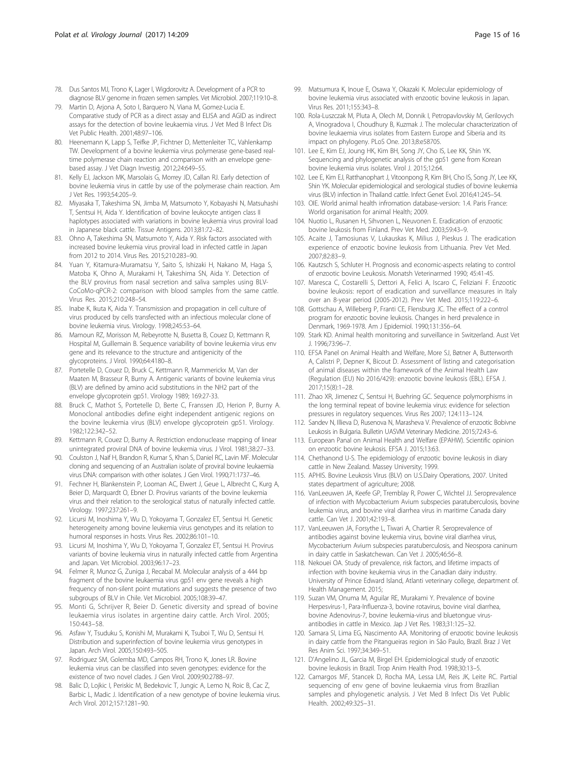- <span id="page-14-0"></span>78. Dus Santos MJ, Trono K, Lager I, Wigdorovitz A. Development of a PCR to diagnose BLV genome in frozen semen samples. Vet Microbiol. 2007;119:10–8.
- 79. Martin D, Arjona A, Soto I, Barquero N, Viana M, Gomez-Lucia E. Comparative study of PCR as a direct assay and ELISA and AGID as indirect assays for the detection of bovine leukaemia virus. J Vet Med B Infect Dis Vet Public Health. 2001;48:97–106.
- 80. Heenemann K, Lapp S, Teifke JP, Fichtner D, Mettenleiter TC, Vahlenkamp TW. Development of a bovine leukemia virus polymerase gene-based realtime polymerase chain reaction and comparison with an envelope genebased assay. J Vet Diagn Investig. 2012;24:649–55.
- 81. Kelly EJ, Jackson MK, Marsolais G, Morrey JD, Callan RJ. Early detection of bovine leukemia virus in cattle by use of the polymerase chain reaction. Am J Vet Res. 1993;54:205–9.
- 82. Miyasaka T, Takeshima SN, Jimba M, Matsumoto Y, Kobayashi N, Matsuhashi T, Sentsui H, Aida Y. Identification of bovine leukocyte antigen class II haplotypes associated with variations in bovine leukemia virus proviral load in Japanese black cattle. Tissue Antigens. 2013;81:72–82.
- 83. Ohno A, Takeshima SN, Matsumoto Y, Aida Y. Risk factors associated with increased bovine leukemia virus proviral load in infected cattle in Japan from 2012 to 2014. Virus Res. 2015;210:283–90.
- 84. Yuan Y, Kitamura-Muramatsu Y, Saito S, Ishizaki H, Nakano M, Haga S, Matoba K, Ohno A, Murakami H, Takeshima SN, Aida Y. Detection of the BLV provirus from nasal secretion and saliva samples using BLV-CoCoMo-qPCR-2: comparison with blood samples from the same cattle. Virus Res. 2015;210:248–54.
- 85. Inabe K, Ikuta K, Aida Y. Transmission and propagation in cell culture of virus produced by cells transfected with an infectious molecular clone of bovine leukemia virus. Virology. 1998;245:53–64.
- 86. Mamoun RZ, Morisson M, Rebeyrotte N, Busetta B, Couez D, Kettmann R, Hospital M, Guillemain B. Sequence variability of bovine leukemia virus env gene and its relevance to the structure and antigenicity of the glycoproteins. J Virol. 1990;64:4180–8.
- 87. Portetelle D, Couez D, Bruck C, Kettmann R, Mammerickx M, Van der Maaten M, Brasseur R, Burny A. Antigenic variants of bovine leukemia virus (BLV) are defined by amino acid substitutions in the NH2 part of the envelope glycoprotein gp51. Virology 1989; 169:27-33.
- 88. Bruck C, Mathot S, Portetelle D, Berte C, Franssen JD, Herion P, Burny A. Monoclonal antibodies define eight independent antigenic regions on the bovine leukemia virus (BLV) envelope glycoprotein gp51. Virology. 1982;122:342–52.
- 89. Kettmann R, Couez D, Burny A. Restriction endonuclease mapping of linear unintegrated proviral DNA of bovine leukemia virus. J Virol. 1981;38:27–33.
- 90. Coulston J, Naif H, Brandon R, Kumar S, Khan S, Daniel RC, Lavin MF. Molecular cloning and sequencing of an Australian isolate of proviral bovine leukaemia virus DNA: comparison with other isolates. J Gen Virol. 1990;71:1737–46.
- 91. Fechner H, Blankenstein P, Looman AC, Elwert J, Geue L, Albrecht C, Kurg A, Beier D, Marquardt O, Ebner D. Provirus variants of the bovine leukemia virus and their relation to the serological status of naturally infected cattle. Virology. 1997;237:261–9.
- 92. Licursi M, Inoshima Y, Wu D, Yokoyama T, Gonzalez ET, Sentsui H. Genetic heterogeneity among bovine leukemia virus genotypes and its relation to humoral responses in hosts. Virus Res. 2002;86:101–10.
- 93. Licursi M, Inoshima Y, Wu D, Yokoyama T, Gonzalez ET, Sentsui H. Provirus variants of bovine leukemia virus in naturally infected cattle from Argentina and Japan. Vet Microbiol. 2003;96:17–23.
- 94. Felmer R, Munoz G, Zuniga J, Recabal M. Molecular analysis of a 444 bp fragment of the bovine leukaemia virus gp51 env gene reveals a high frequency of non-silent point mutations and suggests the presence of two subgroups of BLV in Chile. Vet Microbiol. 2005;108:39–47.
- 95. Monti G, Schrijver R, Beier D. Genetic diversity and spread of bovine leukaemia virus isolates in argentine dairy cattle. Arch Virol. 2005; 150:443–58.
- 96. Asfaw Y, Tsuduku S, Konishi M, Murakami K, Tsuboi T, Wu D, Sentsui H. Distribution and superinfection of bovine leukemia virus genotypes in Japan. Arch Virol. 2005;150:493–505.
- 97. Rodriguez SM, Golemba MD, Campos RH, Trono K, Jones LR. Bovine leukemia virus can be classified into seven genotypes: evidence for the existence of two novel clades. J Gen Virol. 2009;90:2788–97.
- 98. Balic D, Lojkic I, Periskic M, Bedekovic T, Jungic A, Lemo N, Roic B, Cac Z, Barbic L, Madic J. Identification of a new genotype of bovine leukemia virus. Arch Virol. 2012;157:1281–90.
- 99. Matsumura K, Inoue E, Osawa Y, Okazaki K. Molecular epidemiology of bovine leukemia virus associated with enzootic bovine leukosis in Japan. Virus Res. 2011;155:343–8.
- 100. Rola-Luszczak M, Pluta A, Olech M, Donnik I, Petropavlovskiy M, Gerilovych A, Vinogradova I, Choudhury B, Kuzmak J. The molecular characterization of bovine leukaemia virus isolates from Eastern Europe and Siberia and its impact on phylogeny. PLoS One. 2013;8:e58705.
- 101. Lee E, Kim EJ, Joung HK, Kim BH, Song JY, Cho IS, Lee KK, Shin YK. Sequencing and phylogenetic analysis of the gp51 gene from Korean bovine leukemia virus isolates. Virol J. 2015;12:64.
- 102. Lee E, Kim EJ, Ratthanophart J, Vitoonpong R, Kim BH, Cho IS, Song JY, Lee KK, Shin YK. Molecular epidemiological and serological studies of bovine leukemia virus (BLV) infection in Thailand cattle. Infect Genet Evol. 2016;41:245–54.
- 103. OIE. World animal health infromation database-version: 1.4. Paris France: World organisation for animal Health; 2009.
- 104. Nuotio L, Rusanen H, Sihvonen L, Neuvonen E. Eradication of enzootic bovine leukosis from Finland. Prev Vet Med. 2003;59:43–9.
- 105. Acaite J, Tamosiunas V, Lukauskas K, Milius J, Pieskus J. The eradication experience of enzootic bovine leukosis from Lithuania. Prev Vet Med. 2007;82:83–9.
- 106. Kautzsch S, Schluter H. Prognosis and economic-aspects relating to control of enzootic bovine Leukosis. Monatsh Veterinarmed 1990; 45:41-45.
- 107. Maresca C, Costarelli S, Dettori A, Felici A, Iscaro C, Feliziani F. Enzootic bovine leukosis: report of eradication and surveillance measures in Italy over an 8-year period (2005-2012). Prev Vet Med. 2015;119:222–6.
- 108. Gottschau A, Willeberg P, Franti CE, Flensburg JC. The effect of a control program for enzootic bovine leukosis. Changes in herd prevalence in Denmark, 1969-1978. Am J Epidemiol. 1990;131:356–64.
- 109. Stark KD. Animal health monitoring and surveillance in Switzerland. Aust Vet J. 1996;73:96–7.
- 110. EFSA Panel on Animal Health and Welfare, More SJ, Bøtner A, Butterworth A, Calistri P, Depner K, Bicout D. Assessment of listing and categorisation of animal diseases within the framework of the Animal Health Law (Regulation (EU) No 2016/429): enzootic bovine leukosis (EBL). EFSA J. 2017;15(8):1–28.
- 111. Zhao XR, Jimenez C, Sentsui H, Buehring GC. Sequence polymorphisms in the long terminal repeat of bovine leukemia virus: evidence for selection pressures in regulatory sequences. Virus Res 2007; 124:113–124.
- 112. Sandev N, Illieva D, Rusenova N, Marasheva V. Prevalence of enzootic Bobivne Leukosis in Bulgaria. Bulletin UASVM Veterinary Medicine. 2015;72:43–6.
- 113. European Panal on Animal Health and Welfare (EPAHW). Scientific opinion on enzootic bovine leukosis. EFSA J. 2015;13:63.
- 114. Chethanond U-S. The epidemiology of enzootic bovine leukosis in diary cattle in New Zealand. Massey University; 1999.
- 115. APHIS. Bovine Leukosis Virus (BLV) on U.S.Dairy Operations, 2007. United states department of agriculture; 2008.
- 116. VanLeeuwen JA, Keefe GP, Tremblay R, Power C, Wichtel JJ. Seroprevalence of infection with Mycobacterium Avium subspecies paratuberculosis, bovine leukemia virus, and bovine viral diarrhea virus in maritime Canada dairy cattle. Can Vet J. 2001;42:193–8.
- 117. VanLeeuwen JA, Forsythe L, Tiwari A, Chartier R. Seroprevalence of antibodies against bovine leukemia virus, bovine viral diarrhea virus, Mycobacterium Avium subspecies paratuberculosis, and Neospora caninum in dairy cattle in Saskatchewan. Can Vet J. 2005;46:56–8.
- 118. Nekouei OA. Study of prevalence, risk factors, and lifetime impacts of infection with bovine keukemia virus in the Canadian dairy industry. University of Prince Edward Island, Atlanti veterinary college, department of. Health Management. 2015;
- 119. Suzan VM, Onuma M, Aguilar RE, Murakami Y. Prevalence of bovine Herpesvirus-1, Para-Influenza-3, bovine rotavirus, bovine viral diarrhea, bovine Adenovirus-7, bovine leukemia-virus and bluetongue virusantibodies in cattle in Mexico. Jap J Vet Res. 1983;31:125–32.
- 120. Samara SI, Lima EG, Nascimento AA. Monitoring of enzootic bovine leukosis in dairy cattle from the Pitangueiras region in São Paulo, Brazil. Braz J Vet Res Anim Sci. 1997;34:349–51.
- 121. D'Angelino JL, Garcia M, Birgel EH. Epidemiological study of enzootic bovine leukosis in Brazil. Trop Anim Health Prod. 1998;30:13–5.
- 122. Camargos MF, Stancek D, Rocha MA, Lessa LM, Reis JK, Leite RC. Partial sequencing of env gene of bovine leukaemia virus from Brazilian samples and phylogenetic analysis. J Vet Med B Infect Dis Vet Public Health. 2002;49:325–31.